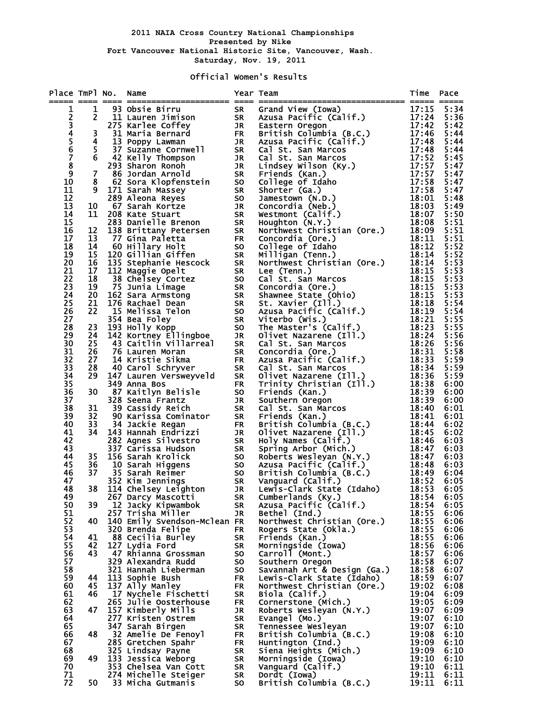## Official Women's Results

| Place TmPl No. Name          |      |                                            | Year Team                       | The No. Name of the same of the same of the same of the same of the same of the same of the same of the same of the same of the same of the same of the same of the same of the same of the same of the same of the same of t | Time           | Pace         |
|------------------------------|------|--------------------------------------------|---------------------------------|-------------------------------------------------------------------------------------------------------------------------------------------------------------------------------------------------------------------------------|----------------|--------------|
| 1                            |      |                                            |                                 |                                                                                                                                                                                                                               |                |              |
| $\mathbf{2}$                 |      |                                            |                                 |                                                                                                                                                                                                                               |                |              |
| $\overline{3}$<br>4          |      |                                            |                                 |                                                                                                                                                                                                                               |                |              |
|                              |      |                                            |                                 |                                                                                                                                                                                                                               |                |              |
|                              |      |                                            |                                 |                                                                                                                                                                                                                               |                |              |
| 5<br>6<br>7<br>8             |      |                                            |                                 |                                                                                                                                                                                                                               |                |              |
|                              |      |                                            |                                 |                                                                                                                                                                                                                               |                |              |
| $\boldsymbol{9}$             |      |                                            |                                 |                                                                                                                                                                                                                               |                |              |
| 10                           |      |                                            |                                 |                                                                                                                                                                                                                               |                |              |
| 11                           |      |                                            |                                 |                                                                                                                                                                                                                               |                |              |
| 12                           |      |                                            |                                 |                                                                                                                                                                                                                               |                |              |
| 13<br>14                     |      |                                            |                                 |                                                                                                                                                                                                                               |                |              |
| 15                           |      |                                            |                                 |                                                                                                                                                                                                                               |                |              |
| 16                           |      |                                            |                                 |                                                                                                                                                                                                                               |                |              |
| 17                           |      |                                            |                                 |                                                                                                                                                                                                                               |                |              |
| 18                           |      |                                            |                                 |                                                                                                                                                                                                                               |                |              |
| 19                           |      |                                            |                                 |                                                                                                                                                                                                                               |                |              |
| 20 <sub>o</sub>              |      |                                            |                                 |                                                                                                                                                                                                                               |                |              |
| 21<br>22                     |      |                                            |                                 |                                                                                                                                                                                                                               |                |              |
| 23                           |      |                                            |                                 |                                                                                                                                                                                                                               |                |              |
| 24                           |      |                                            |                                 |                                                                                                                                                                                                                               |                |              |
| 25                           |      |                                            |                                 |                                                                                                                                                                                                                               |                |              |
| 26                           |      |                                            |                                 |                                                                                                                                                                                                                               |                |              |
| 27                           |      |                                            |                                 |                                                                                                                                                                                                                               |                |              |
| 28<br>29                     |      |                                            |                                 |                                                                                                                                                                                                                               |                |              |
| 30 <sub>o</sub>              |      |                                            |                                 |                                                                                                                                                                                                                               |                |              |
|                              |      |                                            |                                 |                                                                                                                                                                                                                               |                |              |
| $31$<br>$32$<br>$33$<br>$34$ |      |                                            |                                 |                                                                                                                                                                                                                               |                |              |
|                              |      |                                            |                                 |                                                                                                                                                                                                                               |                |              |
|                              |      |                                            |                                 |                                                                                                                                                                                                                               |                |              |
| $\frac{35}{36}$              |      |                                            |                                 |                                                                                                                                                                                                                               |                |              |
| 37                           |      |                                            |                                 |                                                                                                                                                                                                                               |                |              |
| 38                           |      |                                            |                                 |                                                                                                                                                                                                                               |                |              |
| 39                           |      |                                            |                                 |                                                                                                                                                                                                                               |                |              |
| 40                           |      |                                            |                                 |                                                                                                                                                                                                                               |                |              |
| 41                           |      |                                            |                                 |                                                                                                                                                                                                                               |                |              |
| 42<br>43                     |      |                                            |                                 |                                                                                                                                                                                                                               |                |              |
| 44                           |      |                                            |                                 |                                                                                                                                                                                                                               |                |              |
| 45                           |      |                                            |                                 |                                                                                                                                                                                                                               |                |              |
| 46                           |      |                                            |                                 |                                                                                                                                                                                                                               |                |              |
| 47                           |      |                                            |                                 |                                                                                                                                                                                                                               |                |              |
| 48                           |      |                                            |                                 |                                                                                                                                                                                                                               |                |              |
| 49<br>50                     | 39   | 267 Darcy Mascotti                         | <b>SR</b>                       | Cumberlands (Ky.)                                                                                                                                                                                                             | 18:54<br>18:54 | 6:05         |
| 51                           |      | 12 Jacky Kipwambok<br>257 Trisha Miller    | <b>SR</b><br>JR                 | Azusa Pacific (Calif.)<br>Bethel (Ind.)                                                                                                                                                                                       | 18:55          | 6:05<br>6:06 |
| 52                           | 40   | 140 Emily Svendson-Mclean FR               |                                 | Northwest Christian (Ore.)                                                                                                                                                                                                    | 18:55          | 6:06         |
| 53                           |      | 320 Brenda Felipe                          | <b>FR</b>                       | Rogers State (Okla.)                                                                                                                                                                                                          | 18:55          | 6:06         |
| 54                           | 41   | 88 Cecilia Burley                          | <b>SR</b>                       | Friends (Kan.)                                                                                                                                                                                                                | 18:55          | 6:06         |
| 55                           | 42   | 127 Lydia Ford                             | <b>SR</b>                       | Morningside (Iowa)                                                                                                                                                                                                            | 18:56          | 6:06         |
| 56                           | 43   | 47 Rhianna Grossman                        | SO <sub>1</sub>                 | Carroll (Mont.)                                                                                                                                                                                                               | 18:57          | 6:06         |
| 57<br>58                     |      | 329 Alexandra Rudd<br>321 Hannah Lieberman | SO <b>SO</b><br>SO <sub>1</sub> | Southern Oregon<br>Savannah Art & Design (Ga.)                                                                                                                                                                                | 18:58<br>18:58 | 6:07<br>6:07 |
| 59                           | 44   | 113 Sophie Bush                            | <b>FR</b>                       | Lewis-Clark State (Idaho)                                                                                                                                                                                                     | 18:59          | 6:07         |
| 60                           | 45   | 137 Ally Manley                            | <b>FR</b>                       | Northwest Christian (Ore.)                                                                                                                                                                                                    | 19:02          | 6:08         |
| 61                           | 46   | 17 Nychele Fischetti                       | <b>SR</b>                       | Biola (Calif.)                                                                                                                                                                                                                | 19:04          | 6:09         |
| 62                           |      | 265 Julie Oosterhouse                      | <b>FR</b>                       | Cornerstone (Mich.)                                                                                                                                                                                                           | 19:05          | 6:09         |
| 63                           | 47   | 157 Kimberly Mills                         | JR                              | Roberts Wesleyan (N.Y.)                                                                                                                                                                                                       | 19:07          | 6:09         |
| 64                           |      | 277 Kristen Ostrem                         | <b>SR</b>                       | Evangel (Mo.)                                                                                                                                                                                                                 | 19:07          | 6:10         |
| 65<br>66                     | 48   | 347 Sarah Birgen<br>32 Amelie De Fenoyl    | <b>SR</b><br><b>FR</b>          | Tennessee Wesleyan<br>British Columbia (B.C.)                                                                                                                                                                                 | 19:07<br>19:08 | 6:10<br>6:10 |
| 67                           |      | 285 Gretchen Spahr                         | <b>FR</b>                       | Huntington (Ind.)                                                                                                                                                                                                             | 19:09          | 6:10         |
| 68                           |      | 325 Lindsay Payne                          | <b>SR</b>                       | Siena Heights (Mich.)                                                                                                                                                                                                         | 19:09          | 6:10         |
| 69                           | 49   | 133 Jessica Weborg                         | <b>SR</b>                       | Morningside (Iowa)                                                                                                                                                                                                            | 19:10          | 6:10         |
| 70                           |      | 353 Chelsea Van Cott                       | <b>SR</b>                       | Vanguard (Calif.)                                                                                                                                                                                                             | 19:10          | 6:11         |
| 71                           |      | 274 Michelle Steiger                       | <b>SR</b>                       | Dordt (Iowa)                                                                                                                                                                                                                  | 19:11          | 6:11         |
| 72                           | 50 — | 33 Micha Gutmanis                          | <b>SO</b>                       | British Columbia (B.C.)                                                                                                                                                                                                       | 19:11          | 6:11         |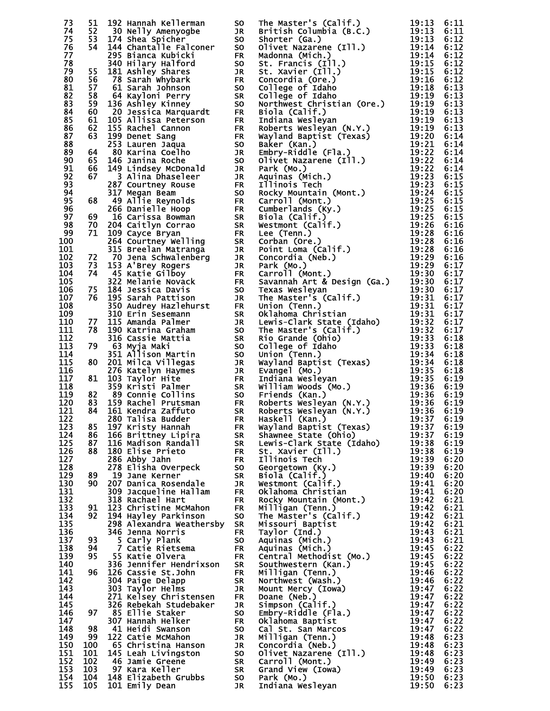| 73         |  |  |  | 6:11         |
|------------|--|--|--|--------------|
| 74         |  |  |  | 6:11         |
| 75         |  |  |  | 6:12         |
| 76         |  |  |  | 6:12<br>6:12 |
| 77<br>78   |  |  |  | 6:12         |
| 79         |  |  |  | 6:12         |
| 80         |  |  |  | 6:12         |
| 81         |  |  |  | 6:13         |
| 82         |  |  |  | 6:13         |
| 83         |  |  |  | 6:13         |
| 84         |  |  |  | 6:13         |
| 85<br>86   |  |  |  | 6:13<br>6:13 |
| 87         |  |  |  | 6:14         |
| 88         |  |  |  | 6:14         |
| 89         |  |  |  | 6:14         |
| 90         |  |  |  | 6:14         |
| 91         |  |  |  | 6:14         |
| 92         |  |  |  | 6:15         |
| 93<br>94   |  |  |  | 6:15<br>6:15 |
| 95         |  |  |  | 6:15         |
| 96         |  |  |  | 6:15         |
| 97         |  |  |  | 6:15         |
| 98         |  |  |  | 6:16         |
| 99         |  |  |  | 6:16         |
| 100        |  |  |  | 6:16         |
| 101        |  |  |  | 6:16         |
| 102        |  |  |  | 6:16         |
| 103<br>104 |  |  |  | 6:17<br>6:17 |
| 105        |  |  |  | 6:17         |
| 106        |  |  |  | 6:17         |
| 107        |  |  |  | 6:17         |
| 108        |  |  |  | 6:17         |
| 109        |  |  |  | 6:17         |
| 110        |  |  |  | 6:17         |
| 111        |  |  |  | 6:17         |
| 112<br>113 |  |  |  | 6:18         |
| 114        |  |  |  | 6:18<br>6:18 |
| 115        |  |  |  | 6:18         |
| 116        |  |  |  | 6:18         |
| 117        |  |  |  | 6:19         |
| 118        |  |  |  | 6:19         |
| 119        |  |  |  | 6:19         |
| 120        |  |  |  | 6:19         |
| 121<br>122 |  |  |  | 6:19<br>6:19 |
| 123        |  |  |  | 6:19         |
| 124        |  |  |  | 6:19         |
| 125        |  |  |  | 6:19         |
| 126        |  |  |  | 6:19         |
| 127        |  |  |  | 6:20         |
| 128        |  |  |  | 6:20         |
| 129        |  |  |  | 6:20         |
| 130<br>131 |  |  |  | 6:20<br>6:20 |
| 132        |  |  |  | 6:21         |
| 133        |  |  |  | 6:21         |
| 134        |  |  |  | 6:21         |
| 135        |  |  |  | 6:21         |
| 136        |  |  |  | 6:21         |
| 137        |  |  |  | 6:21         |
| 138        |  |  |  | 6:22         |
| 139<br>140 |  |  |  | 6:22<br>6:22 |
| 141        |  |  |  | 6:22         |
| 142        |  |  |  | 6:22         |
| 143        |  |  |  | 6:22         |
| 144        |  |  |  | 6:22         |
| 145        |  |  |  | 6:22         |
| 146        |  |  |  | 6:22         |
| 147        |  |  |  | 6:22         |
| 148<br>149 |  |  |  | 6:22         |
| 150        |  |  |  | 6:23<br>6:23 |
| 151        |  |  |  | 6:23         |
| 152        |  |  |  | 6:23         |
| 153        |  |  |  | 6:23         |
| 154        |  |  |  | 6:23         |
| 155        |  |  |  | 6:23         |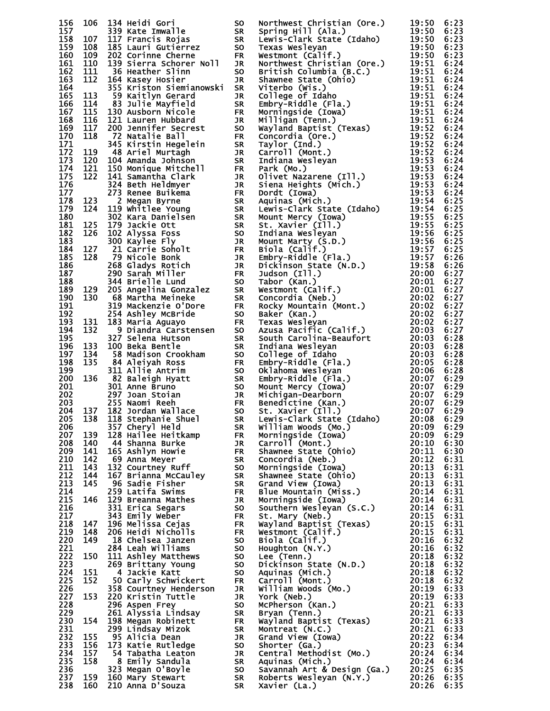| 156        |  |  | 100 1344 Media Corp. 200 Media Corp. 200 Media Corp. 200 Media Corp. 200 Media Corp. 200 Media Corp. 200 Media Corp. 200 Media Corp. 200 Media Corp. 200 Media Corp. 200 Media Corp. 200 Media Corp. 200 Media Corp. 200 Medi | 6:23         |
|------------|--|--|-------------------------------------------------------------------------------------------------------------------------------------------------------------------------------------------------------------------------------|--------------|
| 157        |  |  |                                                                                                                                                                                                                               | 6:23         |
| 158<br>159 |  |  |                                                                                                                                                                                                                               | 6:23<br>6:23 |
| 160        |  |  |                                                                                                                                                                                                                               | 6:23         |
| 161        |  |  |                                                                                                                                                                                                                               | 6:24         |
| 162        |  |  |                                                                                                                                                                                                                               | 6:24         |
| 163        |  |  |                                                                                                                                                                                                                               | 6:24         |
| 164        |  |  |                                                                                                                                                                                                                               | 6:24         |
| 165        |  |  |                                                                                                                                                                                                                               | 6:24         |
| 166<br>167 |  |  |                                                                                                                                                                                                                               | 6:24<br>6:24 |
| 168        |  |  |                                                                                                                                                                                                                               | 6:24         |
| 169        |  |  |                                                                                                                                                                                                                               | 6:24         |
| 170        |  |  |                                                                                                                                                                                                                               | 6:24         |
| 171        |  |  |                                                                                                                                                                                                                               | 6:24         |
| 172        |  |  |                                                                                                                                                                                                                               | 6:24         |
| 173<br>174 |  |  |                                                                                                                                                                                                                               | 6:24         |
| 175        |  |  |                                                                                                                                                                                                                               | 6:24<br>6:24 |
| 176        |  |  |                                                                                                                                                                                                                               | 6:24         |
| 177        |  |  |                                                                                                                                                                                                                               | 6:24         |
| 178        |  |  |                                                                                                                                                                                                                               | 6:25         |
| 179        |  |  |                                                                                                                                                                                                                               | 6:25         |
| 180        |  |  |                                                                                                                                                                                                                               | 6:25         |
| 181<br>182 |  |  |                                                                                                                                                                                                                               | 6:25         |
| 183        |  |  |                                                                                                                                                                                                                               | 6:25<br>6:25 |
| 184        |  |  |                                                                                                                                                                                                                               | 6:25         |
| 185        |  |  |                                                                                                                                                                                                                               | 6:26         |
| 186        |  |  |                                                                                                                                                                                                                               | 6:26         |
| 187        |  |  |                                                                                                                                                                                                                               | 6:27         |
| 188        |  |  |                                                                                                                                                                                                                               | 6:27         |
| 189<br>190 |  |  |                                                                                                                                                                                                                               | 6:27         |
| 191        |  |  |                                                                                                                                                                                                                               | 6:27<br>6:27 |
| 192        |  |  |                                                                                                                                                                                                                               | 6:27         |
| 193        |  |  |                                                                                                                                                                                                                               | 6:27         |
| 194        |  |  |                                                                                                                                                                                                                               | 6:27         |
| 195        |  |  |                                                                                                                                                                                                                               | 6:28         |
| 196        |  |  |                                                                                                                                                                                                                               | 6:28         |
| 197        |  |  |                                                                                                                                                                                                                               | 6:28         |
| 198<br>199 |  |  |                                                                                                                                                                                                                               | 6:28<br>6:28 |
| 200        |  |  |                                                                                                                                                                                                                               | 6:29         |
| 201        |  |  |                                                                                                                                                                                                                               | 6:29         |
| 202        |  |  |                                                                                                                                                                                                                               | 6:29         |
| 203        |  |  |                                                                                                                                                                                                                               | 6:29         |
| 204        |  |  |                                                                                                                                                                                                                               | 6:29         |
| 205<br>206 |  |  |                                                                                                                                                                                                                               | 6:29         |
| 207        |  |  |                                                                                                                                                                                                                               | 6:29<br>6:29 |
| 208        |  |  |                                                                                                                                                                                                                               | 6:30         |
| 209        |  |  |                                                                                                                                                                                                                               | 6:30         |
| 210        |  |  |                                                                                                                                                                                                                               | 6:31         |
| 211        |  |  |                                                                                                                                                                                                                               | 6:31         |
| 212        |  |  |                                                                                                                                                                                                                               | 6:31         |
| 213<br>214 |  |  |                                                                                                                                                                                                                               | 6:31<br>6:31 |
| 215        |  |  |                                                                                                                                                                                                                               | 6:31         |
| 216        |  |  |                                                                                                                                                                                                                               | 6:31         |
| 217        |  |  |                                                                                                                                                                                                                               | 6:31         |
| 218        |  |  |                                                                                                                                                                                                                               | 6:31         |
| 219        |  |  |                                                                                                                                                                                                                               | 6:31         |
| 220        |  |  |                                                                                                                                                                                                                               | 6:32         |
| 221<br>222 |  |  |                                                                                                                                                                                                                               | 6:32<br>6:32 |
| 223        |  |  |                                                                                                                                                                                                                               | 6:32         |
| 224        |  |  |                                                                                                                                                                                                                               | 6:32         |
| 225        |  |  |                                                                                                                                                                                                                               | 6:32         |
| 226        |  |  |                                                                                                                                                                                                                               | 6:33         |
| 227        |  |  |                                                                                                                                                                                                                               | 6:33         |
| 228        |  |  |                                                                                                                                                                                                                               | 6:33         |
| 229<br>230 |  |  |                                                                                                                                                                                                                               | 6:33<br>6:33 |
| 231        |  |  |                                                                                                                                                                                                                               | 6:33         |
| 232        |  |  |                                                                                                                                                                                                                               | 6:34         |
| 233        |  |  |                                                                                                                                                                                                                               | 6:34         |
| 234        |  |  |                                                                                                                                                                                                                               | 6:34         |
| 235        |  |  |                                                                                                                                                                                                                               | 6:34         |
| 236        |  |  |                                                                                                                                                                                                                               | 6:35         |
| 237<br>238 |  |  |                                                                                                                                                                                                                               | 6:35<br>6:35 |
|            |  |  |                                                                                                                                                                                                                               |              |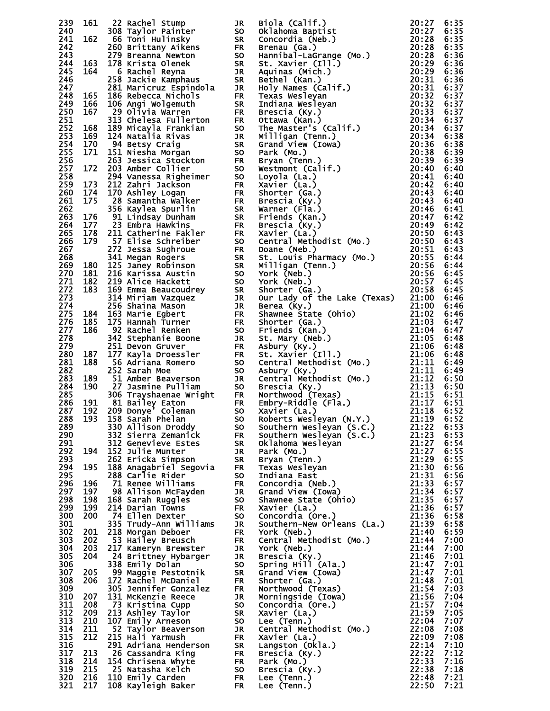| 239        |            |                                              |                        | 16. 22 Rachel Stump<br>16. 22 Rachel Stump in Brian (Kai): 201272<br>162 Rachel Stump in Son Galalman Baytist<br>162 Birlittan Mexicon Six Stump in Son Hamiltail-LaGrange (Mo.)<br>2013 Birlis Marie Tellis (Mar) 201323 238 6:338<br>                                                                                                                                                                 |       |              |
|------------|------------|----------------------------------------------|------------------------|---------------------------------------------------------------------------------------------------------------------------------------------------------------------------------------------------------------------------------------------------------------------------------------------------------------------------------------------------------------------------------------------------------|-------|--------------|
| 240<br>241 |            |                                              |                        |                                                                                                                                                                                                                                                                                                                                                                                                         |       |              |
| 242        |            |                                              |                        |                                                                                                                                                                                                                                                                                                                                                                                                         |       |              |
| 243        |            |                                              |                        |                                                                                                                                                                                                                                                                                                                                                                                                         |       |              |
| 244        |            |                                              |                        |                                                                                                                                                                                                                                                                                                                                                                                                         |       |              |
| 245        |            |                                              |                        |                                                                                                                                                                                                                                                                                                                                                                                                         |       |              |
| 246        |            |                                              |                        |                                                                                                                                                                                                                                                                                                                                                                                                         |       |              |
| 247<br>248 |            |                                              |                        |                                                                                                                                                                                                                                                                                                                                                                                                         |       |              |
| 249        |            |                                              |                        |                                                                                                                                                                                                                                                                                                                                                                                                         |       |              |
| 250        |            |                                              |                        |                                                                                                                                                                                                                                                                                                                                                                                                         |       |              |
| 251        |            |                                              |                        |                                                                                                                                                                                                                                                                                                                                                                                                         |       |              |
| 252<br>253 |            |                                              |                        |                                                                                                                                                                                                                                                                                                                                                                                                         |       |              |
| 254        |            |                                              |                        |                                                                                                                                                                                                                                                                                                                                                                                                         |       |              |
| 255        |            |                                              |                        |                                                                                                                                                                                                                                                                                                                                                                                                         |       |              |
| 256        |            |                                              |                        |                                                                                                                                                                                                                                                                                                                                                                                                         |       |              |
| 257        |            |                                              |                        |                                                                                                                                                                                                                                                                                                                                                                                                         |       |              |
| 258        |            |                                              |                        |                                                                                                                                                                                                                                                                                                                                                                                                         |       |              |
| 259<br>260 |            |                                              |                        |                                                                                                                                                                                                                                                                                                                                                                                                         |       |              |
| 261        |            |                                              |                        |                                                                                                                                                                                                                                                                                                                                                                                                         |       |              |
| 262        |            |                                              |                        |                                                                                                                                                                                                                                                                                                                                                                                                         |       |              |
| 263        |            |                                              |                        |                                                                                                                                                                                                                                                                                                                                                                                                         |       |              |
| 264        |            |                                              |                        |                                                                                                                                                                                                                                                                                                                                                                                                         |       |              |
| 265<br>266 |            |                                              |                        |                                                                                                                                                                                                                                                                                                                                                                                                         |       |              |
| 267        |            |                                              |                        |                                                                                                                                                                                                                                                                                                                                                                                                         |       |              |
| 268        |            |                                              |                        |                                                                                                                                                                                                                                                                                                                                                                                                         |       |              |
| 269        |            |                                              |                        |                                                                                                                                                                                                                                                                                                                                                                                                         |       |              |
| 270        |            |                                              |                        |                                                                                                                                                                                                                                                                                                                                                                                                         |       |              |
| 271<br>272 |            |                                              |                        |                                                                                                                                                                                                                                                                                                                                                                                                         |       |              |
| 273        |            |                                              |                        |                                                                                                                                                                                                                                                                                                                                                                                                         |       |              |
| 274        |            |                                              |                        |                                                                                                                                                                                                                                                                                                                                                                                                         |       |              |
| 275        |            |                                              |                        |                                                                                                                                                                                                                                                                                                                                                                                                         |       |              |
| 276        |            |                                              |                        |                                                                                                                                                                                                                                                                                                                                                                                                         |       |              |
| 277<br>278 |            |                                              |                        |                                                                                                                                                                                                                                                                                                                                                                                                         |       |              |
| 279        |            |                                              |                        |                                                                                                                                                                                                                                                                                                                                                                                                         |       |              |
| 280        |            |                                              |                        |                                                                                                                                                                                                                                                                                                                                                                                                         |       |              |
| 281        |            |                                              |                        |                                                                                                                                                                                                                                                                                                                                                                                                         |       |              |
| 282<br>283 |            |                                              |                        |                                                                                                                                                                                                                                                                                                                                                                                                         |       |              |
| 284        |            |                                              |                        |                                                                                                                                                                                                                                                                                                                                                                                                         |       |              |
| 285        |            |                                              |                        |                                                                                                                                                                                                                                                                                                                                                                                                         |       |              |
| 286        |            |                                              |                        |                                                                                                                                                                                                                                                                                                                                                                                                         |       |              |
| 287        |            |                                              |                        |                                                                                                                                                                                                                                                                                                                                                                                                         |       |              |
| 288        |            | 330 Allison Droddy                           |                        |                                                                                                                                                                                                                                                                                                                                                                                                         | 21:22 |              |
| 289<br>290 |            | 332 Sierra Zemanick                          | <b>SO</b><br><b>FR</b> | Southern Wesleyan (S.C.)<br>Southern Wesleyan (S.C.)<br>Southern Wesleyan (S.C.) 21:22<br>Oklahoma Wesleyan 21:27<br>Park (Mo.) 21:27<br>Bryan (Tenn.) 21:29<br>Texas Wesleyan 21:30<br>Texas Wesleyan 21:30<br>Indiana East 21:31<br>Concordia (Neb.) 21:33<br>Shawnee Stat                                                                                                                            |       | 6:53<br>6:53 |
| 291        |            | 312 Genevieve Estes                          | <b>SR</b>              |                                                                                                                                                                                                                                                                                                                                                                                                         |       | 6:54         |
| 292        | 194        | 152 Julie Munter                             | JR                     |                                                                                                                                                                                                                                                                                                                                                                                                         |       | 6:55         |
| 293        |            | 262 Ericka Simpson                           | <b>SR</b>              |                                                                                                                                                                                                                                                                                                                                                                                                         |       | 6:55         |
| 294<br>295 | 195        | 188 Anagabriel Segovia<br>288 Carlie Rider   | <b>ER</b><br><b>SO</b> |                                                                                                                                                                                                                                                                                                                                                                                                         |       | 6:56<br>6:56 |
| 296        | 196        | 71 Renee Williams                            | <b>FR</b>              |                                                                                                                                                                                                                                                                                                                                                                                                         |       | 6:57         |
| 297        | 197        | 98 Allison McFayden                          | JR                     |                                                                                                                                                                                                                                                                                                                                                                                                         |       | 6:57         |
| 298        | 198        | 168 Sarah Ruggles                            | <b>SO</b>              |                                                                                                                                                                                                                                                                                                                                                                                                         |       | 6:57         |
| 299        | 199        | 214 Darian Towns                             | <b>FR</b>              |                                                                                                                                                                                                                                                                                                                                                                                                         |       | 6:57         |
| 300<br>301 | 200        | 74 Ellen Dexter<br>335 Trudy-Ann Williams    | <b>SO</b><br>JR        |                                                                                                                                                                                                                                                                                                                                                                                                         |       | 6:58<br>6:58 |
| 302        | 201        | 218 Morgan Deboer                            |                        |                                                                                                                                                                                                                                                                                                                                                                                                         | 21:40 | 6:59         |
| 303        | 202        | 53 Hailey Breusch                            |                        |                                                                                                                                                                                                                                                                                                                                                                                                         |       | 7:00         |
| 304        | 203        | 217 Kameryn Brewster                         |                        |                                                                                                                                                                                                                                                                                                                                                                                                         |       | 7:00         |
| 305        | 204        | 24 Brittney Hybarger                         |                        |                                                                                                                                                                                                                                                                                                                                                                                                         |       | 7:01         |
| 306<br>307 |            | 338 Emily Dolan                              |                        |                                                                                                                                                                                                                                                                                                                                                                                                         |       | 7:01<br>7:01 |
| 308        |            |                                              |                        |                                                                                                                                                                                                                                                                                                                                                                                                         |       |              |
|            | 205        | 99 Maggie Pestotnik                          |                        |                                                                                                                                                                                                                                                                                                                                                                                                         |       |              |
| 309        | 206        | 172 Rachel McDaniel<br>305 Jennifer Gonzalez |                        |                                                                                                                                                                                                                                                                                                                                                                                                         |       | 7:01<br>7:03 |
| 310        | 207        | 131 McKenzie Reece                           |                        |                                                                                                                                                                                                                                                                                                                                                                                                         |       | 7:04         |
| 311        | 208        | 73 Kristina Cupp                             |                        |                                                                                                                                                                                                                                                                                                                                                                                                         |       | 7:04         |
| 312        | 209        | 213 Ashley Taylor                            |                        |                                                                                                                                                                                                                                                                                                                                                                                                         |       | 7:05         |
| 313<br>314 | 210<br>211 | 107 Emily Arneson<br>52 Taylor Beaverson     |                        |                                                                                                                                                                                                                                                                                                                                                                                                         |       | 7:07<br>7:08 |
| 315        | 212        | 215 Hali Yarmush                             |                        |                                                                                                                                                                                                                                                                                                                                                                                                         |       | 7:08         |
| 316        |            | 291 Adriana Henderson                        |                        |                                                                                                                                                                                                                                                                                                                                                                                                         |       | 7:10         |
| 317        | 213        | 26 Cassandra King                            |                        |                                                                                                                                                                                                                                                                                                                                                                                                         |       | 7:12         |
| 318<br>319 | 214<br>215 | 154 Chrisena Whyte<br>25 Natasha Kelch       |                        |                                                                                                                                                                                                                                                                                                                                                                                                         |       | 7:16<br>7:18 |
| 320        | 216        | 110 Emily Carden                             |                        |                                                                                                                                                                                                                                                                                                                                                                                                         |       | 7:21         |
| 321        | 217        | 108 Kayleigh Baker FR                        |                        | 21:3<br>21:3<br>21:44<br>21:44<br>21:44<br>21:44<br>21:44<br>21:44<br>21:44<br>21:44<br>21:44<br>21:44<br>21:44<br>21:44<br>21:44<br>21:44<br>21:44<br>21:54<br>21:54<br>21:54<br>FR Shorter (Ga.)<br>21:54<br>FR Shorter (Ga.)<br>21:56<br>FR Morthwood (Texas)<br>21:56<br>21:56<br>rn xavier (La.)<br>SR Langston (Okla.)<br>FR Brescia (Ky.)<br>FR Park (Mo.)<br>SO Brescia (Ky.)<br>FR Lee (Tenn.) |       | 7:21         |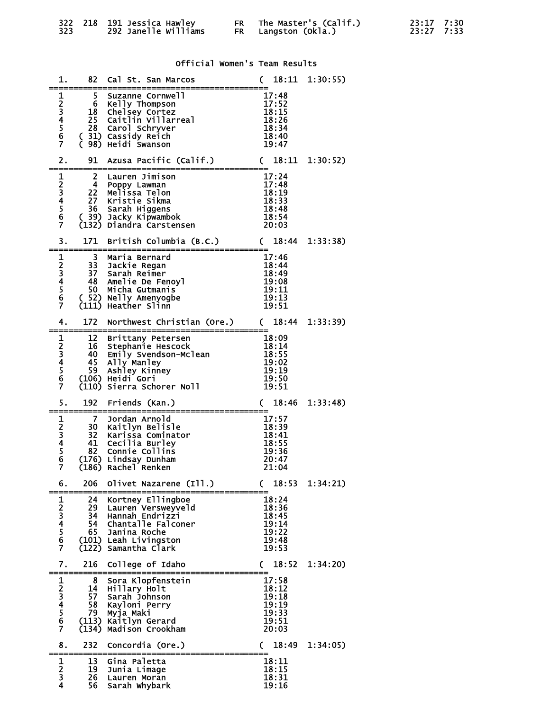| 323. |  | 322 218 191 Jessica Hawley<br><b>292 Janelle Williams</b> |  | FR The Master's (Calif.)<br>FR Langston (Okla.) | 23:17 7:30<br>23:27 7:33 |  |
|------|--|-----------------------------------------------------------|--|-------------------------------------------------|--------------------------|--|
|------|--|-----------------------------------------------------------|--|-------------------------------------------------|--------------------------|--|

1. 82 Cal St. San Marcos ( 18:11 1:30:55)

Official Women's Team Results

|                                                 | 5.                      | Suzanne Cornwell                                       | 17:48                  |          |
|-------------------------------------------------|-------------------------|--------------------------------------------------------|------------------------|----------|
|                                                 |                         | 6 Kelly Thompson                                       | 17:52                  |          |
| $\begin{array}{c} 1 \\ 2 \\ 3 \\ 4 \end{array}$ |                         |                                                        |                        |          |
|                                                 |                         | 18 Chelsey Cortez<br>25 Caitlin Villarreal             | 18:15                  |          |
|                                                 |                         |                                                        | 18:26                  |          |
| $\frac{5}{6}$                                   | 28                      | Carol Schryver                                         | 18:34                  |          |
|                                                 |                         | (31) Cassidy Reich<br>(98) Heidi Swanson               | 18:40                  |          |
| $\overline{7}$                                  |                         |                                                        | 19:47                  |          |
|                                                 |                         |                                                        |                        |          |
|                                                 |                         |                                                        |                        |          |
| 2.                                              | 91                      | Azusa Pacific (Calif.)                                 | (18:11)                | 1:30:52) |
| ===                                             |                         |                                                        |                        |          |
|                                                 | $\mathbf{2}$            | Lauren Jimison                                         | 17:24                  |          |
|                                                 | $\overline{\mathbf{4}}$ | Poppy Lawman                                           | 17:48                  |          |
|                                                 |                         | 22 Melissa Telon                                       | 18:19                  |          |
| $\begin{array}{c} 1 \\ 2 \\ 3 \\ 4 \end{array}$ |                         |                                                        |                        |          |
|                                                 |                         | 27 Kristie Sikma                                       | 18:33                  |          |
| $\frac{5}{6}$                                   |                         | 36 Sarah Higgens                                       | 18:48                  |          |
|                                                 |                         | (39) Jacky Kipwambok                                   | 18:54                  |          |
| Ž                                               |                         | (132) Diandra Carstensen                               | 20:03                  |          |
|                                                 |                         |                                                        |                        |          |
|                                                 |                         |                                                        |                        |          |
| 3.                                              | 171                     | British Columbia (B.C.)                                | (18:44)                | 1:33:38  |
|                                                 |                         |                                                        |                        |          |
| $\mathbf{1}$                                    | 3                       | Maria Bernard                                          | 17:46                  |          |
|                                                 |                         | 33 Jackie Regan                                        | 18:44                  |          |
| $\frac{2}{3}$<br>4                              |                         | 37 Sarah Reimer                                        | 18:49                  |          |
|                                                 |                         |                                                        |                        |          |
|                                                 |                         | <b>SALAIL AND SALAIL STARFS</b><br>48 Amelie De Fenoyl | 19:08                  |          |
| $\frac{5}{6}$                                   | 50 -                    | Micha Gutmanis                                         | 19:11                  |          |
|                                                 |                         | (52) Nelly Amenyogbe                                   | 19:13                  |          |
| Ż                                               |                         | (111) Heather Slinn                                    | 19:51                  |          |
|                                                 |                         |                                                        |                        |          |
|                                                 |                         |                                                        |                        |          |
| 4.                                              | 172                     | Northwest Christian (Ore.) (18:44                      |                        | 1:33:39  |
|                                                 | --------                |                                                        |                        |          |
| $\begin{array}{c} 1 \\ 2 \\ 3 \\ 4 \end{array}$ | 12 <sup>2</sup>         | Brittany Petersen                                      | 18:09                  |          |
|                                                 | 16                      | Stephanie Hescock                                      | 18:14                  |          |
|                                                 | 40 -                    | Emily Svendson-Mclean                                  | 18:55                  |          |
|                                                 | 45                      |                                                        | 19:02                  |          |
|                                                 |                         | Ally Manley                                            |                        |          |
| $\frac{5}{6}$                                   | 59                      | Ashley Kinney                                          | 19:19                  |          |
|                                                 |                         | (106) Heidi Gori                                       | 19:50                  |          |
| Ž                                               |                         | (110) Sierra Schorer Noll                              | 19:51                  |          |
|                                                 |                         |                                                        |                        |          |
|                                                 |                         |                                                        |                        |          |
|                                                 |                         |                                                        |                        |          |
| 5.                                              | 192                     | Friends (Kan.)                                         | 18:46<br>$\mathcal{C}$ | 1:33:48  |
|                                                 |                         |                                                        |                        |          |
| 1                                               | <b>7</b>                | Jordan Arnold                                          | 17:57                  |          |
|                                                 |                         |                                                        | 18:39                  |          |
|                                                 |                         | 30 Kaitlyn Belisle                                     |                        |          |
|                                                 |                         | 32 Karissa Cominator                                   | 18:41                  |          |
| $\frac{2}{3}$                                   |                         | 41 Cecilia Burley                                      | 18:55                  |          |
|                                                 | 82                      | Connie Collins                                         | 19:36                  |          |
| $\frac{5}{6}$                                   |                         | (176) Lindsay Dunham                                   | 20:47                  |          |
| Ž                                               |                         | (186) Rachel Renken                                    | 21:04                  |          |
|                                                 |                         |                                                        |                        |          |
|                                                 | 206                     |                                                        |                        | 1:34:21  |
| 6.                                              |                         | Olivet Nazarene (Ill.)                                 | 18:53<br>$\mathcal{C}$ |          |
|                                                 |                         |                                                        |                        |          |
|                                                 | 24                      | Kortney Ellingboe                                      | 18:24                  |          |
|                                                 | 29                      | Lauren Versweyveld                                     | 18:36                  |          |
|                                                 | 34                      | Hannah Endrizzi                                        | 18:45                  |          |
|                                                 | 54                      | Chantalle Falconer                                     | 19:14                  |          |
|                                                 |                         |                                                        |                        |          |
|                                                 | 65                      | Janina Roche                                           | 19:22                  |          |
|                                                 |                         | (101) Leah Livingston                                  | 19:48                  |          |
| 1234567                                         | (122)                   | Samantha Clark                                         | 19:53                  |          |
|                                                 |                         |                                                        |                        |          |
| 7.                                              | 216                     | College of Idaho                                       | 18:52<br>C             | 1:34:20  |
|                                                 |                         |                                                        |                        |          |
|                                                 | 8                       | Sora Klopfenstein                                      | 17:58                  |          |
|                                                 |                         |                                                        |                        |          |
|                                                 | 14                      | Hillary Holt                                           | 18:12                  |          |
|                                                 | 57                      | Sarah Johnson                                          | 19:18                  |          |
|                                                 | 58                      | Kayloni Perry                                          | 19:19                  |          |
|                                                 | 79                      | Myja Maki                                              | 19:33                  |          |
|                                                 | (113)                   | Kaitlyn Gerard                                         | 19:51                  |          |
| 1234567                                         | (134)                   |                                                        | 20:03                  |          |
|                                                 |                         | Madison Crookham                                       |                        |          |
|                                                 |                         |                                                        |                        |          |
| 8.                                              | 232                     | Concordia (Ore.)                                       | 18:49<br>C.            | 1:34:05  |
|                                                 |                         |                                                        |                        |          |
| 1                                               | 13                      | Gina Paletta                                           | 18:11                  |          |
| $\overline{\mathbf{c}}$                         | 19                      | Junia Limage                                           | 18:15                  |          |
|                                                 | 26                      |                                                        | 18:31                  |          |
| 3<br>4                                          | 56                      | Lauren Moran<br>Sarah Whybark                          | 19:16                  |          |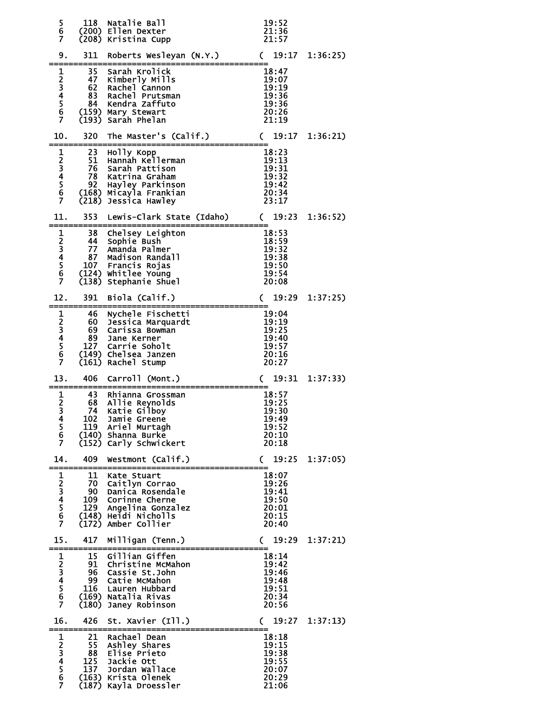| 5<br>$\overline{6}$<br>7                                       | 118                                 | Natalie Ball<br>(200) Ellen Dexter<br>(208) Kristina Cupp                                                                                             | 19:52<br>21:36<br>21:57                                                               |                |
|----------------------------------------------------------------|-------------------------------------|-------------------------------------------------------------------------------------------------------------------------------------------------------|---------------------------------------------------------------------------------------|----------------|
| 9.                                                             | 311                                 | Roberts Wesleyan (N.Y.)                                                                                                                               | 19:17<br>$\mathsf{C}$                                                                 | 1:36:25        |
| $\mathbf{1}$<br>23456<br>$\overline{7}$                        | 35<br>47<br>62<br>83<br>84          | Sarah Krolick<br>Kimberly Mills<br>Rachel Cannon<br>Rachel Prutsman<br>Kendra Zaffuto<br>(159) Mary Stewart<br>(193) Sarah Phelan                     | 18:47<br>19:07<br>19:19<br>19:36<br>19:36<br>20:26<br>21:19                           |                |
| 10.                                                            | 320 <b>S</b>                        | The Master's (Calif.)                                                                                                                                 | 19:17<br>$\mathsf{C}$                                                                 | 1:36:21)       |
| $\mathbf{1}$<br>$\frac{2}{3}$<br>4<br>5<br>6<br>$\overline{7}$ | 23<br>51<br>76<br>78<br>92<br>(218) | Holly Kopp<br>Hannah Kellerman<br>Sarah Pattison<br>Katrina Graham<br>Hayley Parkinson<br>(168) Micayla Frankian<br>Jessica Hawley                    | 18:23<br>19:13<br>19:31<br>$\frac{15}{19}:32$<br>19:42<br>$\overline{20}:34$<br>23:17 |                |
| 11.                                                            | 353                                 | Lewis-Clark State (Idaho) (                                                                                                                           | 19:23                                                                                 | 1:36:52)       |
| $\mathbf{1}$<br>$\frac{2}{3}$<br>4<br>5<br>6<br>Ž.             | 38<br>44<br>77<br>87                | Chelsey Leighton<br>Sophie Bush<br>Amanda Palmer<br>Madison Randall<br>107 Francis Rojas<br>(124) Whitlee Young<br>(138) Stephanie Shuel              | 18:53<br>18:59<br>19:32<br>19:38<br>19:50<br>19:54<br>20:08                           |                |
| 12.                                                            | 391                                 | Biola (Calif.)                                                                                                                                        | 19:29<br>$\mathcal{C}$                                                                | 1:37:25        |
| 123456<br>$\overline{7}$                                       | 46<br>60<br>69<br>89<br>127         | Nychele Fischetti<br>Jessica Marquardt<br>Carissa Bowman<br>Jane Kerner<br>Carrie Soholt<br>(149) Chelsea Janzen<br>(161) Rachel Stump                | 19:04<br>19:19<br>19:25<br>19:40<br>19:57<br>20:16<br>20:27                           |                |
| 13.                                                            | 406                                 | Carroll (Mont.)                                                                                                                                       | 19:31<br>$\mathcal{C}$                                                                | 1:37:33        |
| 1<br>$\frac{2}{3}$<br>4<br>$\frac{5}{6}$<br>$\overline{7}$     | 43<br>68<br>74<br>102               | Rhianna Grossman<br>Allie Reynolds<br>Katie Gilboy<br><b>Jamie Greene</b><br>119 Ariel Murtagh<br>(140) Shanna Burke<br>(152) Carly Schwickert        | 18:57<br>19:25<br>19:30<br>19:49<br>19:52<br>20:10<br>20:18                           |                |
| 14.                                                            | 409<br>--------                     | Westmont (Calif.)                                                                                                                                     | $\mathsf{C}$                                                                          | 19:25 1:37:05) |
| 1<br>23456<br>Ž.                                               | 11                                  | Kate Stuart<br>70 Caitlyn Corrao<br>90 Danica Rosendale<br>109 Corinne Cherne<br>129 Angelina Gonzalez<br>(148) Heidi Nicholls<br>(172) Amber Collier | 18:07<br>19:26<br>19:41<br>19:50<br>20:01<br>20:15<br>20:40                           |                |
| 15.<br>_______                                                 |                                     | 417 Milligan (Tenn.)                                                                                                                                  | 19:29<br>$\mathcal{C}$                                                                | 1:37:21)       |
| 1<br>$\frac{2}{3}$<br>4<br>5<br>6<br>$\overline{7}$            | 15<br>96.<br>(180)                  | Gillian Giffen<br>91 Christine McMahon<br>Cassie St.John<br>99 Catie McMahon<br>116 Lauren Hubbard<br>(169) Natalia Rivas<br>Janey Robinson           | 18:14<br>19:42<br>19:46<br>19:48<br>19:51<br>20:34<br>20:56                           |                |
| 16.                                                            | 426                                 | St. Xavier (Ill.)<br>----------------                                                                                                                 | $\mathcal{C}$                                                                         | 19:27 1:37:13) |
| $\mathbf{1}$<br>23456<br>$\overline{7}$                        | 21                                  | Rachael Dean<br>55 Ashley Shares<br>88 Elise Prieto<br>137 Jordan Wallace<br>(163) Krista Olenek<br>(187) Kayla Droessler                             | 18:18<br>19:15<br>19:38<br>19:55<br>20:07<br>20:29<br>21:06                           |                |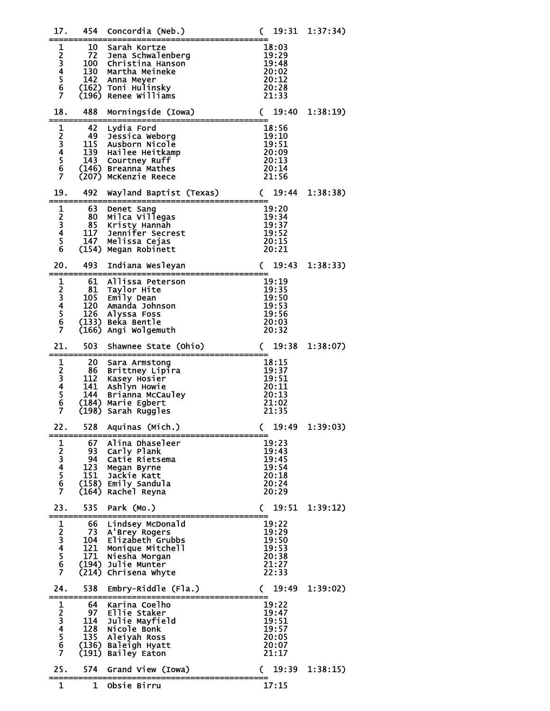| 17.                                 | 454                                    | Concordia (Neb.)                                                                                                                     | 19:31                                                       | 1:37:34) |
|-------------------------------------|----------------------------------------|--------------------------------------------------------------------------------------------------------------------------------------|-------------------------------------------------------------|----------|
| 1<br>23456<br>$\overline{7}$        | 10<br>72<br>100<br>130<br>142          | Sarah Kortze<br>Jena Schwalenberg<br>Christina Hanson<br>Martha Meineke<br>Anna Meyer<br>(162) Toni Hulinsky<br>(196) Renee Williams | 18:03<br>19:29<br>19:48<br>20:02<br>20:12<br>20:28<br>21:33 |          |
| 18.                                 | 488                                    | Morningside (Iowa)                                                                                                                   | 19:40<br>C                                                  | 1:38:19  |
| $\mathbf{1}$<br>23456<br>Ż          | 42<br>49<br>115<br>139<br>143          | Lydia Ford<br>Jessica Weborg<br>Ausborn Nicole<br>Hailee Heitkamp<br>Courtney Ruff<br>(146) Breanna Mathes<br>(207) McKenzie Reece   | 18:56<br>19:10<br>19:51<br>20:09<br>20:13<br>20:14<br>21:56 |          |
| 19.                                 | 492                                    | Wayland Baptist (Texas)                                                                                                              | 19:44<br>C                                                  | 1:38:38) |
| 1<br>$\frac{2}{3}$<br>$\frac{5}{6}$ | 63<br>80 -<br>85<br>117<br>147         | Denet Sang<br>Milca Villegas<br>Kristy Hannah<br>Jennifer Secrest<br>Melissa Cejas<br>(154) Megan Robinett                           | 19:20<br>19:34<br>19:37<br>19:52<br>20:15<br>20:21          |          |
| 20.                                 | 493                                    | Indiana Wesleyan                                                                                                                     | 19:43<br>C                                                  | 1:38:33  |
| $\mathbf 1$<br>23456<br>Ž           | 61<br>81<br>120<br>126                 | Allissa Peterson<br>Taylor Hite<br>105 Emily Dean<br>Amanda Johnson<br>Alyssa Foss<br>(133) Beka Bentle<br>(166) Angi Wolgemuth      | 19:19<br>19:35<br>19:50<br>19:53<br>19:56<br>20:03<br>20:32 |          |
| 21.                                 | 503                                    | Shawnee State (Ohio)                                                                                                                 | 19:38<br>$\mathsf{C}$                                       | 1:38:07  |
| 1234567                             | 20<br>86<br>112<br>141<br>144<br>(198) | Sara Armstong<br>Brittney Lipira<br>Kasey Hosier<br>Ashlyn Howie<br>Brianna McCauley<br>(184) Marie Egbert<br>Sarah Ruggles          | 18:15<br>19:37<br>19:51<br>20:11<br>20:13<br>21:02<br>21:35 |          |
| 22.                                 |                                        | 528 Aquinas (Mich.)                                                                                                                  | 19:49<br>$\mathsf{C}$                                       | 1:39:03  |
| 1234567                             | 67<br>93<br>94<br>123<br>151<br>(164)  | Alina Dhaseleer<br>Carly Plank<br>Catie Rietsema<br>Megan Byrne<br>Jackie Katt<br>(158) Emily Sandula<br>Rachel Reyna                | 19:23<br>19:43<br>19:45<br>19:54<br>20:18<br>20:24<br>20:29 |          |
| 23.                                 | 535                                    | Park (Mo.)                                                                                                                           | 19:51<br>C                                                  | 1:39:12) |
| 1234567                             | 66<br>73<br>104<br>121<br>171<br>(214) | Lindsey McDonald<br>A'Brey Rogers<br>Elizabeth Grubbs<br>Monique Mitchell<br>Niesha Morgan<br>(194) Julie Munter<br>Chrisena Whyte   | 19:22<br>19:29<br>19:50<br>19:53<br>20:38<br>21:27<br>22:33 |          |
| 24.                                 | 538                                    | Embry-Riddle (Fla.)                                                                                                                  | 19:49<br>C                                                  | 1:39:02) |
| 1234567                             | 64<br>97<br>114<br>128<br>135<br>(191) | Karina Coelho<br>Ellie Staker<br>Julie Mayfield<br>Nicole Bonk<br>Aleiyah Ross<br>(136) Baleigh Hyatt<br>Bailey Eaton                | 19:22<br>19:47<br>19:51<br>19:57<br>20:05<br>20:07<br>21:17 |          |
| 25.                                 | 574                                    | Grand View (Iowa)                                                                                                                    | 19:39<br>C                                                  | 1:38:15) |
| 1                                   | 1                                      | Obsie Birru                                                                                                                          | 17:15                                                       |          |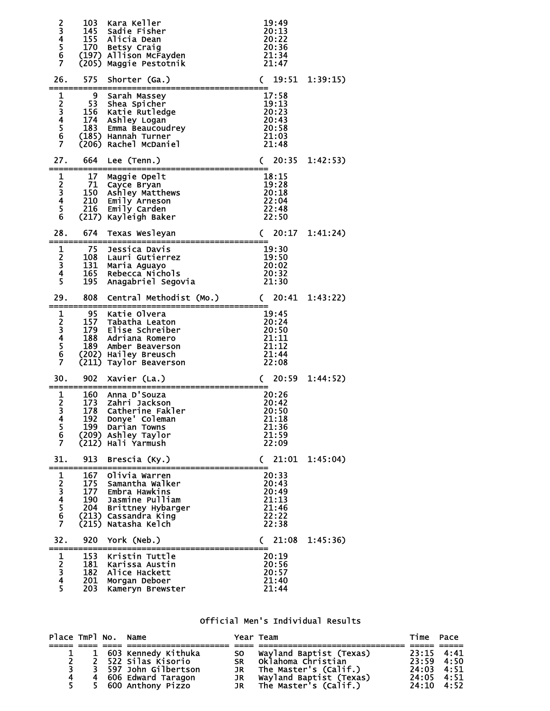| 23456<br>Ž                                          | 103<br>145<br>155<br>170<br>(205)        | Kara Keller<br>Sadie Fisher<br>Alicia Dean<br>Betsy Craig<br>(197) Allison McFayden<br>Maggie Pestotnik                            | 19:49<br>20:13<br>20:22<br>20:36<br>21:34<br>21:47          |          |
|-----------------------------------------------------|------------------------------------------|------------------------------------------------------------------------------------------------------------------------------------|-------------------------------------------------------------|----------|
| 26.                                                 | 575                                      | Shorter (Ga.)                                                                                                                      | 19:51<br>C                                                  | 1:39:15  |
| 1<br>234567                                         | 9<br>53<br>156<br>174<br>183             | Sarah Massey<br>Shea Spicher<br>Katie Rutledge<br>Ashley Logan<br>Emma Beaucoudrey<br>(185) Hannah Turner<br>(206) Rachel McDaniel | 17:58<br>19:13<br>20:23<br>20:43<br>20:58<br>21:03<br>21:48 |          |
| 27.                                                 | 664.                                     | Lee (Tenn.)                                                                                                                        | 20:35<br>C                                                  | 1:42:53) |
| $\mathbf{1}$<br>23456                               | 17<br>71<br>150<br>210<br>216            | Maggie Opelt<br>Cayce Bryan<br>Ashley Matthews<br>Emily Arneson<br>Emily Carden<br>(217) Kayleigh Baker                            | 18:15<br>19:28<br>20:18<br>22:04<br>22:48<br>22:50          |          |
| 28.                                                 | 674                                      | Texas Wesleyan                                                                                                                     | 20:17<br>C                                                  | 1:41:24) |
| $\frac{1}{2}$<br>4<br>$\overline{\mathbf{5}}$       | 75<br>108<br>131<br>165<br>195           | Jessica Davis<br>Lauri Gutierrez<br>Maria Aguayo<br>Rebecca Nichols<br>Anagabriel Segovia                                          | 19:30<br>19:50<br>20:02<br>20:32<br>21:30                   |          |
| 29.                                                 | 808                                      | Central Methodist (Mo.)                                                                                                            | 20:41<br>C.                                                 | 1:43:22  |
| 123456<br>Ž                                         | 95<br>157<br>179<br>188<br>189<br>(211)  | Katie Olvera<br>Tabatha Leaton<br>Elise Schreiber<br>Adriana Romero<br>Amber Beaverson<br>(202) Hailey Breusch<br>Taylor Beaverson | 19:45<br>20:24<br>20:50<br>21:11<br>21:12<br>21:44<br>22:08 |          |
| 30.                                                 | 902                                      | Xavier (La.)                                                                                                                       | 20:59<br>C.                                                 | 1:44:52) |
| 1<br>$\overline{2}$<br>3<br>4<br>$\frac{5}{6}$<br>7 | 160<br>173<br>178<br>192<br>199          | Anna D'Souza<br>Zahri Jackson<br>Catherine Fakler<br>Donye' Coleman<br>Darian Towns<br>(209) Ashley Taylor<br>(212) Hali Yarmush   | 20:26<br>20:42<br>20:50<br>21:18<br>21:36<br>21:59<br>22:09 |          |
| 31.                                                 | 913                                      | Brescia (Ky.)                                                                                                                      | 21:01<br>C                                                  | 1:45:04) |
| 1234567                                             | 167<br>175<br>177<br>190<br>204<br>(215) | Olivia Warren<br>Samantha Walker<br>Embra Hawkins<br>Jasmine Pulliam<br>Brittney Hybarger<br>(213) Cassandra King<br>Natasha Kelch | 20:33<br>20:43<br>20:49<br>21:13<br>21:46<br>22:22<br>22:38 |          |
| 32.                                                 | 920                                      | York (Neb.)                                                                                                                        | 21:08<br>C                                                  | 1:45:36) |
| $\frac{1}{2}$ $\frac{2}{3}$ $\frac{4}{5}$           | 153<br>181                               | Kristin Tuttle<br>Karissa Austin                                                                                                   | 20:19<br>20:56                                              |          |

## Official Men's Individual Results

| Place TmPl No. Name |  |                       |    | Year Team                                                | Time Pace          |  |
|---------------------|--|-----------------------|----|----------------------------------------------------------|--------------------|--|
|                     |  |                       |    |                                                          |                    |  |
|                     |  | 1 603 Kennedy Kithuka |    | SO Wayland Baptist (Texas)                               | $23:15$ 4:41       |  |
| $\mathbf{z}$        |  | 2 522 Silas Kisorio   |    | SR Oklahoma Christian                                    | 23:59 4:50         |  |
|                     |  | 3 597 John Gilbertson | JR | The Master's (Calif.)                                    | 24:03 4:51         |  |
|                     |  | 4 606 Edward Taragon  |    |                                                          | 24:05 4:51         |  |
| 5.                  |  | 5 600 Anthony Pizzo   |    | JR Wayland Baptist (Texas)<br>JR   The Master's (Calif.) | $24:10 \quad 4:52$ |  |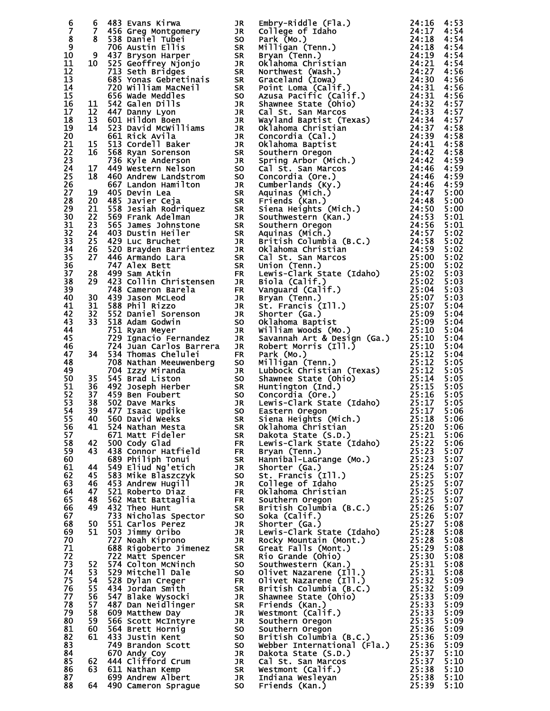| 6               |          |                                                                                                                                                                                                                                                        |           | 6 493 Evans Kirma (1980)<br>8 5 Secret Point (1981), a Embry-Riddle (Fila.)<br>8 Secret Point (1981), a Embry-Riddle (Fila.)<br>10 231 Barbara (1981), a Secret Point (1981), and the state of the state of the state of the state                         |              |
|-----------------|----------|--------------------------------------------------------------------------------------------------------------------------------------------------------------------------------------------------------------------------------------------------------|-----------|------------------------------------------------------------------------------------------------------------------------------------------------------------------------------------------------------------------------------------------------------------|--------------|
| Ž,              |          |                                                                                                                                                                                                                                                        |           |                                                                                                                                                                                                                                                            |              |
| $\frac{8}{9}$   |          |                                                                                                                                                                                                                                                        |           |                                                                                                                                                                                                                                                            |              |
| 10              |          |                                                                                                                                                                                                                                                        |           |                                                                                                                                                                                                                                                            |              |
| 11              |          |                                                                                                                                                                                                                                                        |           |                                                                                                                                                                                                                                                            |              |
| 12              |          |                                                                                                                                                                                                                                                        |           |                                                                                                                                                                                                                                                            |              |
| 13              |          |                                                                                                                                                                                                                                                        |           |                                                                                                                                                                                                                                                            |              |
| 14              |          |                                                                                                                                                                                                                                                        |           |                                                                                                                                                                                                                                                            |              |
| 15              |          |                                                                                                                                                                                                                                                        |           |                                                                                                                                                                                                                                                            |              |
| 16              |          |                                                                                                                                                                                                                                                        |           |                                                                                                                                                                                                                                                            |              |
| 17              |          |                                                                                                                                                                                                                                                        |           |                                                                                                                                                                                                                                                            |              |
| 18              |          |                                                                                                                                                                                                                                                        |           |                                                                                                                                                                                                                                                            |              |
| 19              |          |                                                                                                                                                                                                                                                        |           |                                                                                                                                                                                                                                                            |              |
| 20<br>21        |          |                                                                                                                                                                                                                                                        |           |                                                                                                                                                                                                                                                            |              |
| 22              |          |                                                                                                                                                                                                                                                        |           |                                                                                                                                                                                                                                                            |              |
| 23              |          |                                                                                                                                                                                                                                                        |           |                                                                                                                                                                                                                                                            |              |
| 24              |          |                                                                                                                                                                                                                                                        |           |                                                                                                                                                                                                                                                            |              |
| 25              |          |                                                                                                                                                                                                                                                        |           |                                                                                                                                                                                                                                                            |              |
| 26              |          |                                                                                                                                                                                                                                                        |           |                                                                                                                                                                                                                                                            |              |
| 27              |          |                                                                                                                                                                                                                                                        |           |                                                                                                                                                                                                                                                            |              |
| 28              |          |                                                                                                                                                                                                                                                        |           |                                                                                                                                                                                                                                                            |              |
| 29              |          |                                                                                                                                                                                                                                                        |           |                                                                                                                                                                                                                                                            |              |
| 30<br>31        |          |                                                                                                                                                                                                                                                        |           |                                                                                                                                                                                                                                                            |              |
| $\overline{3}2$ |          |                                                                                                                                                                                                                                                        |           |                                                                                                                                                                                                                                                            |              |
| 33              |          |                                                                                                                                                                                                                                                        |           |                                                                                                                                                                                                                                                            |              |
| $\overline{34}$ |          |                                                                                                                                                                                                                                                        |           |                                                                                                                                                                                                                                                            |              |
| $\overline{3}5$ |          |                                                                                                                                                                                                                                                        |           |                                                                                                                                                                                                                                                            |              |
| 36              |          |                                                                                                                                                                                                                                                        |           |                                                                                                                                                                                                                                                            |              |
| 37              |          |                                                                                                                                                                                                                                                        |           |                                                                                                                                                                                                                                                            |              |
| 38              |          |                                                                                                                                                                                                                                                        |           |                                                                                                                                                                                                                                                            |              |
| 39              |          |                                                                                                                                                                                                                                                        |           |                                                                                                                                                                                                                                                            |              |
| 40              |          |                                                                                                                                                                                                                                                        |           |                                                                                                                                                                                                                                                            |              |
| 41<br>42        |          |                                                                                                                                                                                                                                                        |           |                                                                                                                                                                                                                                                            |              |
| 43              |          |                                                                                                                                                                                                                                                        |           |                                                                                                                                                                                                                                                            |              |
| 44              |          |                                                                                                                                                                                                                                                        |           |                                                                                                                                                                                                                                                            |              |
| 45              |          |                                                                                                                                                                                                                                                        |           |                                                                                                                                                                                                                                                            |              |
| 46              |          |                                                                                                                                                                                                                                                        |           |                                                                                                                                                                                                                                                            |              |
| 47              |          |                                                                                                                                                                                                                                                        |           |                                                                                                                                                                                                                                                            |              |
| 48              |          |                                                                                                                                                                                                                                                        |           |                                                                                                                                                                                                                                                            |              |
| 49              |          |                                                                                                                                                                                                                                                        |           |                                                                                                                                                                                                                                                            |              |
| 50              |          |                                                                                                                                                                                                                                                        |           |                                                                                                                                                                                                                                                            |              |
| 51<br>52        |          |                                                                                                                                                                                                                                                        |           |                                                                                                                                                                                                                                                            |              |
| 53              |          |                                                                                                                                                                                                                                                        |           |                                                                                                                                                                                                                                                            |              |
| 54              |          |                                                                                                                                                                                                                                                        |           |                                                                                                                                                                                                                                                            |              |
| 55              |          |                                                                                                                                                                                                                                                        |           |                                                                                                                                                                                                                                                            |              |
| 56              |          |                                                                                                                                                                                                                                                        |           |                                                                                                                                                                                                                                                            |              |
| 57              |          | 671 Matt Fideler                                                                                                                                                                                                                                       | <b>SR</b> |                                                                                                                                                                                                                                                            | 5:06         |
| 58              | 42       | 500 Cody Glad                                                                                                                                                                                                                                          | <b>FR</b> |                                                                                                                                                                                                                                                            | 5:06         |
| 59              | 43       |                                                                                                                                                                                                                                                        |           |                                                                                                                                                                                                                                                            | 5:07         |
| 60              |          |                                                                                                                                                                                                                                                        |           |                                                                                                                                                                                                                                                            | 5:07         |
| 61              | 44       |                                                                                                                                                                                                                                                        |           |                                                                                                                                                                                                                                                            | 5:07<br>5:07 |
| 62<br>63        | 45<br>46 | 500 Cody Glad<br>438 Connor Hatfield<br>689 Philiph Tonuis SR<br>549 Eliud Ng'etich<br>583 Mike Blaszczyk<br>453 Andrew Hugill<br>521 Roberto Diaz<br>562 Matt Battaglia FR<br>562 Matt Battaglia FR<br>432 Theo Hunt<br>433 Nicolas Spector SR        |           |                                                                                                                                                                                                                                                            | 5:07         |
| 64              | 47       |                                                                                                                                                                                                                                                        |           |                                                                                                                                                                                                                                                            | 5:07         |
| 65              | 48       |                                                                                                                                                                                                                                                        |           |                                                                                                                                                                                                                                                            | 5:07         |
| 66              | 49       | 432 Theo Hunt                                                                                                                                                                                                                                          |           |                                                                                                                                                                                                                                                            | 5:07         |
| 67              |          | POLITY SOUTH SK<br>JR JR<br>JR JR<br>JR JR<br>733 Nicholas Spector                                                                                                                                                                                     |           |                                                                                                                                                                                                                                                            | 5:07         |
| 68              | 50       | 551 Carlos Perez                                                                                                                                                                                                                                       |           |                                                                                                                                                                                                                                                            | 5:08         |
| 69              | 51       | 503 Jimmy Oribo                                                                                                                                                                                                                                        |           |                                                                                                                                                                                                                                                            | 5:08         |
| 70              |          | 727 Noah Kiprono                                                                                                                                                                                                                                       |           |                                                                                                                                                                                                                                                            | 5:08         |
| 71              |          |                                                                                                                                                                                                                                                        |           |                                                                                                                                                                                                                                                            | 5:08         |
| 72<br>73        |          |                                                                                                                                                                                                                                                        |           |                                                                                                                                                                                                                                                            | 5:08         |
| 74              | 52<br>53 |                                                                                                                                                                                                                                                        |           |                                                                                                                                                                                                                                                            | 5:08<br>5:08 |
| 75              | 54       |                                                                                                                                                                                                                                                        |           |                                                                                                                                                                                                                                                            | 5:09         |
| 76              | 55       |                                                                                                                                                                                                                                                        |           |                                                                                                                                                                                                                                                            | 5:09         |
| 77              | 56       |                                                                                                                                                                                                                                                        |           |                                                                                                                                                                                                                                                            | 5:09         |
| 78              | 57       |                                                                                                                                                                                                                                                        |           |                                                                                                                                                                                                                                                            | 5:09         |
| 79              | 58       |                                                                                                                                                                                                                                                        |           |                                                                                                                                                                                                                                                            | 5:09         |
| 80              | 59       |                                                                                                                                                                                                                                                        |           |                                                                                                                                                                                                                                                            | 5:09         |
| 81              | 60       |                                                                                                                                                                                                                                                        |           |                                                                                                                                                                                                                                                            | 5:09         |
| 82              | 61       |                                                                                                                                                                                                                                                        |           |                                                                                                                                                                                                                                                            | 5:09         |
| 83<br>84        |          |                                                                                                                                                                                                                                                        |           |                                                                                                                                                                                                                                                            | 5:09         |
| 85              | 62       |                                                                                                                                                                                                                                                        |           |                                                                                                                                                                                                                                                            | 5:10<br>5:10 |
| 86              | 63       | The Window Theory of the SR PORT of the SR PORT CONDUCTS And the SR SP Mitchell Dale<br>529 Mitchell Dale<br>529 Mitchell Dale<br>529 Mitchell Dale<br>529 Mitchell Dale<br>529 Mitchell Dale<br>529 Mitchell Dale<br>528 Dylan Creger FR<br>434 Jonat |           | Siena Heights (Mich.)<br>Siena Heights (Mich.)<br>Oklahoma Christian<br>Dakota State (S.D.)<br>Lewis-Clark State (Idaho)<br>25:22<br>Bryan (Tenn.)<br>25:23<br>Bryan (Tenn.)<br>25:23<br>Shorter (Ga.)<br>25:23<br>Shorter (Ga.)<br>25:23<br>Shorter (Ga.) | 5:10         |
| 87              |          |                                                                                                                                                                                                                                                        |           |                                                                                                                                                                                                                                                            | 5:10         |
| 88              | 64       |                                                                                                                                                                                                                                                        |           |                                                                                                                                                                                                                                                            | 5:10         |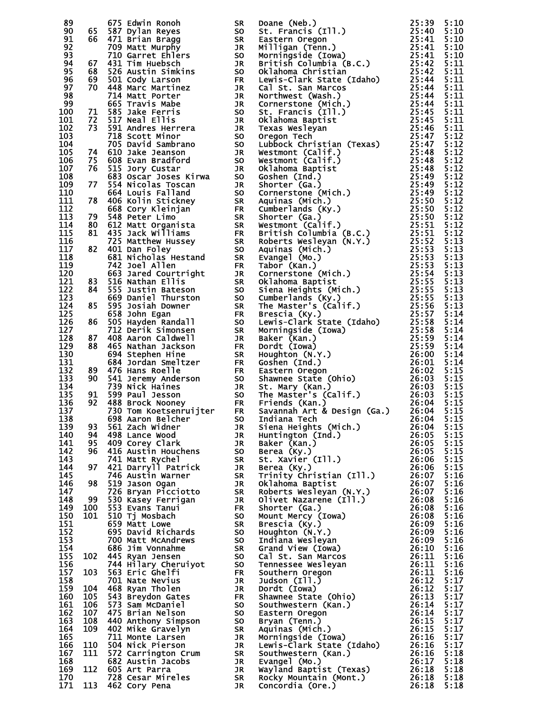| 89         |            |                                                                                                                                                                                                                                                      |    | 65 Edwin Ronolm SR Doame (Neb.) 22:334<br>197 Edwin Ronolm SR Doame (Neb.) 22:334<br>197 Dylan Reyes So. St. Frances (Tl.). 22:334<br>197 Dylan Reyes So. St. Frances (Tl.). 22:344<br>197 Papa Carry (Title Ronolm 2011)<br>198 Gard Tim Hu     |              |
|------------|------------|------------------------------------------------------------------------------------------------------------------------------------------------------------------------------------------------------------------------------------------------------|----|--------------------------------------------------------------------------------------------------------------------------------------------------------------------------------------------------------------------------------------------------|--------------|
| 90         |            |                                                                                                                                                                                                                                                      |    |                                                                                                                                                                                                                                                  |              |
| 91<br>92   |            |                                                                                                                                                                                                                                                      |    |                                                                                                                                                                                                                                                  |              |
| 93         |            |                                                                                                                                                                                                                                                      |    |                                                                                                                                                                                                                                                  |              |
| 94         |            |                                                                                                                                                                                                                                                      |    |                                                                                                                                                                                                                                                  |              |
| 95         |            |                                                                                                                                                                                                                                                      |    |                                                                                                                                                                                                                                                  |              |
| 96<br>97   |            |                                                                                                                                                                                                                                                      |    |                                                                                                                                                                                                                                                  |              |
| 98         |            |                                                                                                                                                                                                                                                      |    |                                                                                                                                                                                                                                                  |              |
| 99         |            |                                                                                                                                                                                                                                                      |    |                                                                                                                                                                                                                                                  |              |
| 100        |            |                                                                                                                                                                                                                                                      |    |                                                                                                                                                                                                                                                  |              |
| 101        |            |                                                                                                                                                                                                                                                      |    |                                                                                                                                                                                                                                                  |              |
| 102<br>103 |            |                                                                                                                                                                                                                                                      |    |                                                                                                                                                                                                                                                  |              |
| 104        |            |                                                                                                                                                                                                                                                      |    |                                                                                                                                                                                                                                                  |              |
| 105        |            |                                                                                                                                                                                                                                                      |    |                                                                                                                                                                                                                                                  |              |
| 106        |            |                                                                                                                                                                                                                                                      |    |                                                                                                                                                                                                                                                  |              |
| 107<br>108 |            |                                                                                                                                                                                                                                                      |    |                                                                                                                                                                                                                                                  |              |
| 109        |            |                                                                                                                                                                                                                                                      |    |                                                                                                                                                                                                                                                  |              |
| 110        |            |                                                                                                                                                                                                                                                      |    |                                                                                                                                                                                                                                                  |              |
| 111        |            |                                                                                                                                                                                                                                                      |    |                                                                                                                                                                                                                                                  |              |
| 112        |            |                                                                                                                                                                                                                                                      |    |                                                                                                                                                                                                                                                  |              |
| 113<br>114 |            |                                                                                                                                                                                                                                                      |    |                                                                                                                                                                                                                                                  |              |
| 115        |            |                                                                                                                                                                                                                                                      |    |                                                                                                                                                                                                                                                  |              |
| 116        |            |                                                                                                                                                                                                                                                      |    |                                                                                                                                                                                                                                                  |              |
| 117        |            |                                                                                                                                                                                                                                                      |    |                                                                                                                                                                                                                                                  |              |
| 118        |            |                                                                                                                                                                                                                                                      |    |                                                                                                                                                                                                                                                  |              |
| 119<br>120 |            |                                                                                                                                                                                                                                                      |    |                                                                                                                                                                                                                                                  |              |
| 121        |            |                                                                                                                                                                                                                                                      |    |                                                                                                                                                                                                                                                  |              |
| 122        |            |                                                                                                                                                                                                                                                      |    |                                                                                                                                                                                                                                                  |              |
| 123        |            |                                                                                                                                                                                                                                                      |    |                                                                                                                                                                                                                                                  |              |
| 124        |            |                                                                                                                                                                                                                                                      |    |                                                                                                                                                                                                                                                  |              |
| 125<br>126 |            |                                                                                                                                                                                                                                                      |    |                                                                                                                                                                                                                                                  |              |
| 127        |            |                                                                                                                                                                                                                                                      |    |                                                                                                                                                                                                                                                  |              |
| 128        |            |                                                                                                                                                                                                                                                      |    |                                                                                                                                                                                                                                                  |              |
| 129        |            |                                                                                                                                                                                                                                                      |    |                                                                                                                                                                                                                                                  |              |
| 130        |            |                                                                                                                                                                                                                                                      |    |                                                                                                                                                                                                                                                  |              |
| 131<br>132 |            |                                                                                                                                                                                                                                                      |    |                                                                                                                                                                                                                                                  |              |
| 133        |            |                                                                                                                                                                                                                                                      |    |                                                                                                                                                                                                                                                  |              |
| 134        |            |                                                                                                                                                                                                                                                      |    |                                                                                                                                                                                                                                                  |              |
| 135        |            |                                                                                                                                                                                                                                                      |    |                                                                                                                                                                                                                                                  |              |
| 136        |            |                                                                                                                                                                                                                                                      |    |                                                                                                                                                                                                                                                  |              |
| 137<br>138 |            |                                                                                                                                                                                                                                                      |    |                                                                                                                                                                                                                                                  |              |
| 139        | 93         | 561 Zach Widner                                                                                                                                                                                                                                      | JR |                                                                                                                                                                                                                                                  | 5:15         |
| 140        | 94         |                                                                                                                                                                                                                                                      |    |                                                                                                                                                                                                                                                  | 5:15         |
| 141        | 95         |                                                                                                                                                                                                                                                      |    |                                                                                                                                                                                                                                                  | 5:15         |
| 142        | 96         |                                                                                                                                                                                                                                                      |    |                                                                                                                                                                                                                                                  | 5:15         |
| 143<br>144 | 97         |                                                                                                                                                                                                                                                      |    |                                                                                                                                                                                                                                                  | 5:15<br>5:15 |
| 145        |            |                                                                                                                                                                                                                                                      |    |                                                                                                                                                                                                                                                  | 5:16         |
| 146        | 98         |                                                                                                                                                                                                                                                      |    |                                                                                                                                                                                                                                                  | 5:16         |
| 147        |            |                                                                                                                                                                                                                                                      |    |                                                                                                                                                                                                                                                  | 5:16         |
| 148        | 99         |                                                                                                                                                                                                                                                      |    |                                                                                                                                                                                                                                                  | 5:16         |
| 149<br>150 | 100<br>101 |                                                                                                                                                                                                                                                      |    |                                                                                                                                                                                                                                                  | 5:16<br>5:16 |
| 151        |            |                                                                                                                                                                                                                                                      |    |                                                                                                                                                                                                                                                  | 5:16         |
| 152        |            |                                                                                                                                                                                                                                                      |    |                                                                                                                                                                                                                                                  | 5:16         |
| 153        |            |                                                                                                                                                                                                                                                      |    |                                                                                                                                                                                                                                                  | 5:16         |
| 154        |            |                                                                                                                                                                                                                                                      |    |                                                                                                                                                                                                                                                  | 5:16         |
| 155        | 102        |                                                                                                                                                                                                                                                      |    |                                                                                                                                                                                                                                                  | 5:16         |
| 156<br>157 | 103        | 698 Aaron Belcher<br>561 Zach Widner<br>409 Corey Clark<br>409 Corey Clark<br>416 Austin Houchens<br>741 Matt Rychel<br>746 Austin Warner<br>746 Austin Warner<br>746 Austin Warner<br>7519 Jason Ogan<br>726 Bryan Picciotto<br>7530 Kasey Ferrigan |    | Savannah Art & Design (Ga.) 26:04<br>Indian Tech<br>Indian Heints (Mich.) 26:04<br>Siena Heights (Mich.) 26:05<br>Baker (Kan.) 26:05<br>Baker (Kan.) 26:05<br>Baker (Ky.) 26:05<br>St. Xavier (Ill.) 26:06<br>Berea (Ky.) 26:06<br>Trinity Chris | 5:16<br>5:16 |
| 158        |            |                                                                                                                                                                                                                                                      |    |                                                                                                                                                                                                                                                  | 5:17         |
| 159        | 104        |                                                                                                                                                                                                                                                      |    |                                                                                                                                                                                                                                                  | 5:17         |
| 160        | 105        |                                                                                                                                                                                                                                                      |    |                                                                                                                                                                                                                                                  | 5:17         |
| 161<br>162 | 106<br>107 |                                                                                                                                                                                                                                                      |    |                                                                                                                                                                                                                                                  | 5:17<br>5:17 |
| 163        | 108        |                                                                                                                                                                                                                                                      |    |                                                                                                                                                                                                                                                  | 5:17         |
| 164        | 109        |                                                                                                                                                                                                                                                      |    |                                                                                                                                                                                                                                                  | 5:17         |
| 165        |            |                                                                                                                                                                                                                                                      |    |                                                                                                                                                                                                                                                  | 5:17         |
| 166        | 110        |                                                                                                                                                                                                                                                      |    |                                                                                                                                                                                                                                                  | 5:17         |
| 167<br>168 | 111        |                                                                                                                                                                                                                                                      |    |                                                                                                                                                                                                                                                  | 5:18<br>5:18 |
| 169        | 112        |                                                                                                                                                                                                                                                      |    |                                                                                                                                                                                                                                                  | 5:18         |
| 170        |            |                                                                                                                                                                                                                                                      |    |                                                                                                                                                                                                                                                  | 5:18         |
| 171        | 113        | 462 Cory Pena                                                                                                                                                                                                                                        | JR |                                                                                                                                                                                                                                                  | 5:18         |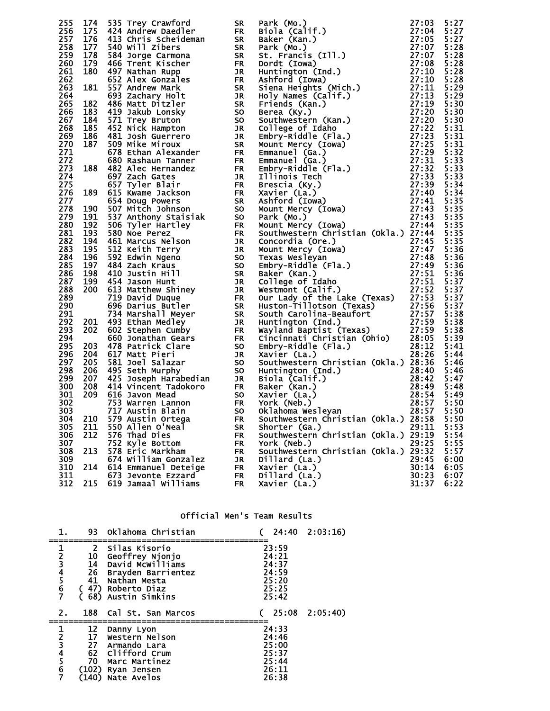|     |     |                      |    | 255 174 six rew Crawford<br>256 177 424 Andrew Datedler<br>256 177 424 Andrew Datedler<br>277 424 Andrew Datedler<br>277 424 Andrew Datedler<br>277 424 Andrew Datedler<br>287 178 454 Andrew Datedler<br>288 178 454 Andrew Datedler<br>288 |       |      |
|-----|-----|----------------------|----|----------------------------------------------------------------------------------------------------------------------------------------------------------------------------------------------------------------------------------------------|-------|------|
|     |     | 550 Allen O'Neal     |    |                                                                                                                                                                                                                                              |       | 5:53 |
| 305 | 211 |                      | SR | Shorter (Ga.)                                                                                                                                                                                                                                | 29:11 |      |
| 306 | 212 | 576 Thad Dies        | FR | Southwestern Christian (Okla.) 29:19                                                                                                                                                                                                         |       | 5:54 |
| 307 |     | 752 Kyle Bottom      | FR | York (Neb.)                                                                                                                                                                                                                                  | 29:25 | 5:55 |
| 308 | 213 | 578 Eric Markham     | FR | Southwestern Christian (Okla.) 29:32                                                                                                                                                                                                         |       | 5:57 |
|     |     |                      |    |                                                                                                                                                                                                                                              |       |      |
| 309 |     | 674 William Gonzalez | JR | Dillard (La.)                                                                                                                                                                                                                                | 29:45 | 6:00 |
| 310 | 214 | 614 Emmanuel Deteige | FR | Xavier (La.)                                                                                                                                                                                                                                 | 30:14 | 6:05 |
| 311 |     | 673 Jevonte Ezzard   | FR | Dillard (La.)                                                                                                                                                                                                                                | 30:23 | 6:07 |
| 312 | 215 | 619 Jamaal Williams  | FR | Xavier (La.)                                                                                                                                                                                                                                 | 31:37 | 6:22 |
|     |     |                      |    |                                                                                                                                                                                                                                              |       |      |

| Official Men's Team Results |  |  |  |  |
|-----------------------------|--|--|--|--|
|-----------------------------|--|--|--|--|

|            |                | 93 Oklahoma Christian                                                                                                       |                                                    | 24:40 2:03:16) |
|------------|----------------|-----------------------------------------------------------------------------------------------------------------------------|----------------------------------------------------|----------------|
| ı<br>34567 | $\overline{2}$ | Silas Kisorio<br>10 Geoffrey Njonjo<br>14 David McWilliams<br>26 Brayden Barrientez<br>41 Nathan Mesta<br>(47) Roberto Diaz | 23:59<br>24:21<br>24:37<br>24:59<br>25:20<br>25:25 |                |
|            |                | 68) Austin Simkins                                                                                                          | 25:42                                              |                |
|            |                |                                                                                                                             |                                                    |                |
|            |                | 188 Cal St. San Marcos                                                                                                      |                                                    | 25:08 2:05:40) |
|            |                |                                                                                                                             | 24:33                                              |                |
|            |                |                                                                                                                             | 24:46                                              |                |
|            |                | 12 Danny Lyon<br>17 Western Nelson<br>27 Armando Lara                                                                       | 25:00                                              |                |
|            |                | 62 Clifford Crum                                                                                                            | 25:37                                              |                |
|            |                | 70 Marc Martinez                                                                                                            | 25:44                                              |                |
| 234567     | (102)          | Ryan Jensen<br>140) Nate Avelos                                                                                             | 26:11                                              |                |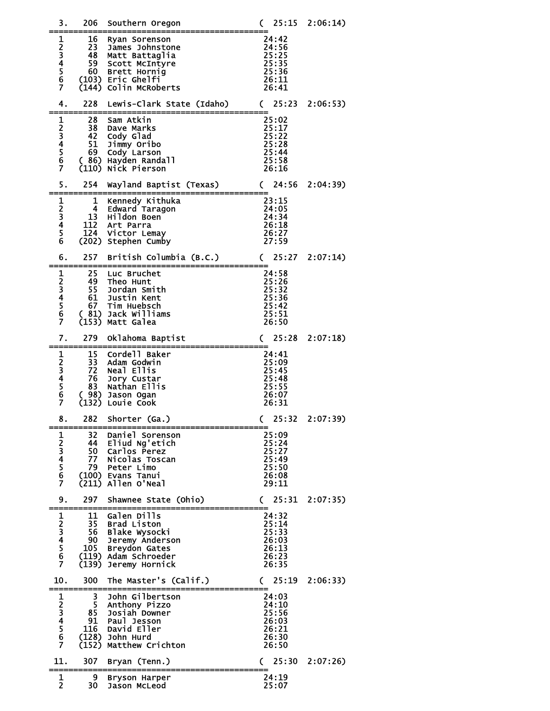| 3.                                   | 206                                           | Southern Oregon                                                                                                                    | 25:15<br>C                                                  | 2:06:14) |
|--------------------------------------|-----------------------------------------------|------------------------------------------------------------------------------------------------------------------------------------|-------------------------------------------------------------|----------|
| 1<br>23456<br>Ž                      | 16<br>23<br>48<br>59<br>60                    | Ryan Sorenson<br>James Johnstone<br>Matt Battaglia<br>Scott McIntyre<br>Brett Hornig<br>(103) Eric Ghelfi<br>(144) Colin McRoberts | 24:42<br>24:56<br>25:25<br>25:35<br>25:36<br>26:11<br>26:41 |          |
| 4.                                   | 228                                           | Lewis-Clark State (Idaho)                                                                                                          | 25:23<br>$\mathcal{C}$                                      | 2:06:53) |
| 123456<br>$\overline{7}$             | 28<br>38<br>42<br>51<br>69<br>(110)           | Sam Atkin<br>Dave Marks<br>Cody Glad<br>Jimmy Oribo<br>Cody Larson<br>( 86) Hayden Randall<br>Nick Pierson                         | 25:02<br>25:17<br>25:22<br>25:28<br>25:44<br>25:58<br>26:16 |          |
| 5.                                   | 254                                           | Wayland Baptist (Texas)                                                                                                            | 24:56<br>$\mathcal{C}$                                      | 2:04:39  |
| $\mathbf{1}$<br>$\frac{2}{3}$<br>456 | 1<br>4<br>13<br>112<br>124                    | Kennedy Kithuka<br>Edward Taragon<br>Hildon Boen<br>Art Parra<br>Victor Lemay<br>(202) Stephen Cumby                               | 23:15<br>24:05<br>24:34<br>26:18<br>26:27<br>27:59          |          |
| 6.                                   | 257                                           | British Columbia (B.C.)                                                                                                            | 25:27<br>$\mathsf{C}$                                       | 2:07:14  |
| 1<br>23456<br>$\overline{7}$         | 25<br>49<br>55<br>61<br>67<br>(81)            | Luc Bruchet<br>Theo Hunt<br>Jordan Smith<br>Justin Kent<br>Tim Huebsch<br>Jack Williams<br>(153) Matt Galea                        | 24:58<br>25:26<br>25:32<br>25:36<br>25:42<br>25:51<br>26:50 |          |
| 7.                                   | 279                                           | Oklahoma Baptist                                                                                                                   | 25:28<br>C                                                  | 2:07:18  |
| 123456<br>$\overline{7}$             | 15<br>33<br>72<br>76<br>83<br>(98)<br>(132)   | Cordell Baker<br>Adam Godwin<br>Neal Ellis<br>Jory Custar<br>Nathan Ellis<br>Jason Ogan<br>Louie Cook                              | 24:41<br>25:09<br>25:45<br>25:48<br>25:55<br>26:07<br>26:31 |          |
| 8.                                   | 282                                           | Shorter (Ga.)                                                                                                                      | 25:32<br>$\mathcal{C}$                                      | 2:07:39  |
| 1234567                              | 32<br>44<br>50<br>77<br>79.<br>(211)          | Daniel Sorenson<br>Eliud Ng'etich<br>Carlos Perez<br>Nicolas Toscan<br>Peter Limo<br>(100) Evans Tanui<br>Allen O'Neal             | 25:09<br>25:24<br>25:27<br>25:49<br>25:50<br>26:08<br>29:11 |          |
| 9.                                   | 297                                           | Shawnee State (Ohio)                                                                                                               | 25:31<br>$\mathcal{C}$                                      | 2:07:35  |
| 123456<br>$\overline{7}$             | 11<br>35<br>56<br>90<br>105<br>(119)<br>(139) | Galen Dills<br><b>Brad Liston</b><br>Blake Wysocki<br>Jeremy Anderson<br><b>Breydon Gates</b><br>Adam Schroeder<br>Jeremy Hornick  | 24:32<br>25:14<br>25:33<br>26:03<br>26:13<br>26:23<br>26:35 |          |
| 10.                                  | 300                                           | The Master's (Calif.)                                                                                                              | 25:19<br>$\mathsf{C}$                                       | 2:06:33  |
| 1234567                              | 3<br>5<br>85<br>91<br>116<br>(152)            | John Gilbertson<br>Anthony Pizzo<br>Josiah Downer<br>Paul Jesson<br>David Eller<br>$(128)$ John Hurd<br>Matthew Crichton           | 24:03<br>24:10<br>25:56<br>26:03<br>26:21<br>26:30<br>26:50 |          |
| 11.                                  | 307                                           | Bryan (Tenn.)                                                                                                                      | 25:30<br>$\mathsf{C}$                                       | 2:07:26  |
| 1<br>$\overline{2}$                  | 9<br>30                                       | Bryson Harper<br>Jason McLeod                                                                                                      | 24:19<br>25:07                                              |          |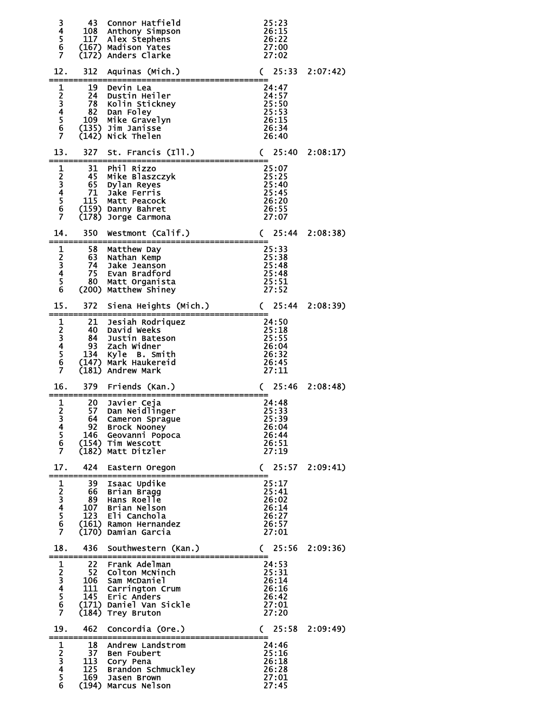| 34567                                                                                                      | 43<br>108                           | Connor Hatfield<br>Anthony Simpson<br>117 Alex Stephens<br>(167) Madison Yates<br>(172) Anders Clarke                                        | 25:23<br>26:15<br>26:22<br>27:00<br>27:02                   |          |
|------------------------------------------------------------------------------------------------------------|-------------------------------------|----------------------------------------------------------------------------------------------------------------------------------------------|-------------------------------------------------------------|----------|
| 12.                                                                                                        | 312                                 | Aquinas (Mich.)                                                                                                                              | 25:33<br>C                                                  | 2:07:42) |
| 1234567                                                                                                    | 19<br>24<br>78<br>82<br>109         | Devin Lea<br>Dustin Heiler<br>Kolin Stickney<br>Dan Foley<br>Mike Gravelyn<br>(135) Jim Janisse<br>(142) Nick Thelen                         | 24:47<br>24:57<br>25:50<br>25:53<br>26:15<br>26:34<br>26:40 |          |
| 13.                                                                                                        | 327                                 | St. Francis (Ill.)                                                                                                                           | 25:40<br>$\mathcal{C}$                                      | 2:08:17  |
| 1<br>234567                                                                                                | 31<br>45<br>65<br>71<br>115         | Phil Rizzo<br>Mike Blaszczyk<br>Dylan Reyes<br>Jake Ferris<br>Matt Peacock<br>(159) Danny Bahret<br>(178) Jorge Carmona                      | 25:07<br>25:25<br>25:40<br>25:45<br>26:20<br>26:55<br>27:07 |          |
| 14.                                                                                                        | 350                                 | Westmont (Calif.)                                                                                                                            | 25:44<br>C                                                  | 2:08:38  |
| 123456                                                                                                     | 58<br>63<br>74.<br>75<br>80.        | Matthew Day<br>Nathan Kemp<br>Jake Jeanson<br>Evan Bradford<br>Matt Organista<br>(200) Matthew Shiney                                        | 25:33<br>25:38<br>25:48<br>25:48<br>25:51<br>27:52          |          |
| 15.                                                                                                        | 372                                 | Siena Heights (Mich.)                                                                                                                        | 25:44<br>$\mathsf{C}$                                       | 2:08:39  |
| 1234567                                                                                                    | 21<br>40.<br>84.<br>93<br>134       | Jesiah Rodriquez<br>David Weeks<br>Justin Bateson<br>Zach Widner<br>Kyle B. Smith<br>(147) Mark Haukereid<br>(181) Andrew Mark               | 24:50<br>25:18<br>25:55<br>26:04<br>26:32<br>26:45<br>27:11 |          |
| 16.                                                                                                        | 379                                 | Friends (Kan.)                                                                                                                               | 25:46<br>C                                                  | 2:08:48  |
| 1<br>$\overline{\mathbf{c}}$<br>3<br>$\overline{\mathbf{4}}$<br>$\begin{array}{c} 5 \\ 6 \\ 7 \end{array}$ | 20.<br>57<br>92                     | Javier Ceja<br>Dan Neidlinger<br>64 Cameron Sprague<br><b>Brock Nooney</b><br>146 Geovanni Popoca<br>(154) Tim Wescott<br>(182) Matt Ditzler | 24:48<br>25:33<br>25:39<br>26:04<br>26:44<br>26:51<br>27:19 |          |
| 17.                                                                                                        |                                     | 424 Eastern Oregon                                                                                                                           | (25:57)                                                     | 2:09:41) |
| 1<br>23456<br>Ž                                                                                            | 39<br>66<br>107                     | Isaac Updike<br>Brian Bragg<br>89 Hans Roelle<br>Brian Nelson<br>123 Eli Canchola<br>(161) Ramon Hernandez<br>(170) Damian Garcia            | 25:17<br>25:41<br>26:02<br>26:14<br>26:27<br>26:57<br>27:01 |          |
| 18.                                                                                                        | 436                                 | Southwestern (Kan.)                                                                                                                          | 25:56<br>C                                                  | 2:09:36  |
| 1234567                                                                                                    | 22 <sub>2</sub><br>52<br>106<br>111 | Frank Adelman<br>Colton McNinch<br>Sam McDaniel<br>Carrington Crum<br>145 Eric Anders<br>(171) Daniel Van Sickle<br>(184) Trey Bruton        | 24:53<br>25:31<br>26:14<br>26:16<br>26:42<br>27:01<br>27:20 |          |
| 19.                                                                                                        | 462                                 | Concordia (Ore.)                                                                                                                             | (25:58)                                                     | 2:09:49  |
| 1<br>23456                                                                                                 | 18<br>37                            | Andrew Landstrom<br><b>Ben Foubert</b><br>113 Cory Pena<br>125 Brandon Schmuckley<br>169 Jasen Brown<br>(194) Marcus Nelson                  | 24:46<br>25:16<br>26:18<br>26:28<br>27:01<br>27:45          |          |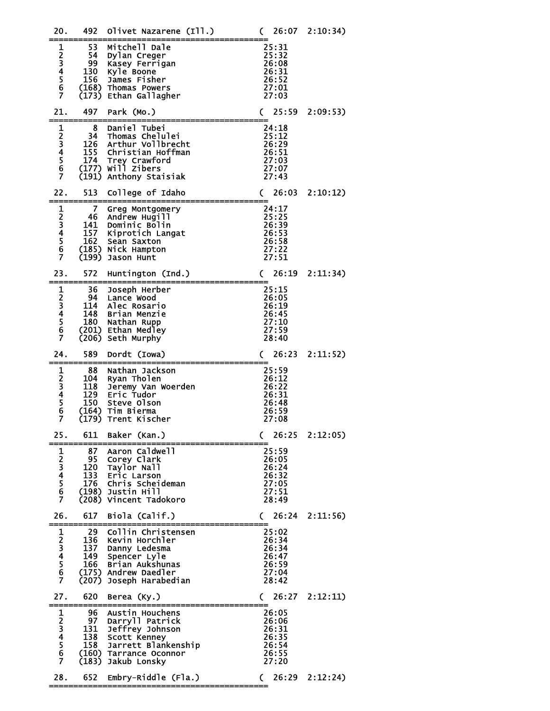| 20.             | 492                                                | Olivet Nazarene (Ill.)                                                                                                                  | 26:07<br>$\mathcal{C}$                                      | 2:10:34)       |
|-----------------|----------------------------------------------------|-----------------------------------------------------------------------------------------------------------------------------------------|-------------------------------------------------------------|----------------|
| 1<br>234567     | 53<br>54<br>99<br>130<br>156<br>(173)              | Mitchell Dale<br>Dylan Creger<br>Kasey Ferrigan<br>Kyle Boone<br>James Fisher<br>(168) Thomas Powers<br>Ethan Gallagher                 | 25:31<br>25:32<br>26:08<br>26:31<br>26:52<br>27:01<br>27:03 |                |
| 21.             | 497                                                | Park (Mo.)                                                                                                                              | 25:59<br>$\mathcal{C}$                                      | 2:09:53)       |
| 1<br>23456<br>Ż | 8<br>34<br>126<br>155<br>174<br>(191)              | Daniel Tubei<br>Thomas Chelulei<br>Arthur Vollbrecht<br>Christian Hoffman<br>174 Trey Crawford<br>(177) Will Zibers<br>Anthony Staisiak | 24:18<br>25:12<br>26:29<br>26:51<br>27:03<br>27:07<br>27:43 |                |
| 22.             | 513                                                | College of Idaho                                                                                                                        | 26:03<br>$\mathsf{C}$                                       | 2:10:12)       |
| 1<br>23456<br>Ž | 7<br>46<br>141<br>157<br>$\overline{162}$<br>(199) | Greg Montgomery<br>Andrew Hugill<br>Dominic Bolin<br>Kiprotich Langat<br>Sean Saxton<br>(185) Nick Hampton<br>Jason Hunt                | 24:17<br>25:25<br>26:39<br>26:53<br>26:58<br>27:22<br>27:51 |                |
| 23.             | 572                                                | Huntington (Ind.)                                                                                                                       | 26:19<br>$\mathcal{C}$                                      | 2:11:34)       |
| 1<br>23456<br>Ż | 36<br>94.<br>114<br>148<br>180<br>(206)            | Joseph Herber<br>Lance Wood<br>Alec Rosario<br>Brian Menzie<br>Nathan Rupp<br>(201) Ethan Medley<br>Seth Murphy                         | 25:15<br>26:05<br>26:19<br>26:45<br>27:10<br>27:59<br>28:40 |                |
| 24.             | 589                                                | Dordt (Iowa)                                                                                                                            | 26:23<br>$\mathsf{C}$                                       | 2:11:52)       |
| 1234567         | 88<br>104<br>118<br>129<br>150<br>(179)            | Nathan Jackson<br>Ryan Tholen<br>Jeremy Van Woerden<br>Eric Tudor<br>Steve Olson<br>(164) Tim Bierma<br>Trent Kischer                   | 25:59<br>26:12<br>26:22<br>26:31<br>26:48<br>26:59<br>27:08 |                |
| 25.             | 611                                                | Baker (Kan.)                                                                                                                            | 26:25<br>C                                                  | 2:12:05        |
| 1<br>234567     | 87<br>95<br>120<br>133<br>176<br>(198)<br>(208)    | Aaron Caldwell<br>Corey Clark<br>Taylor Nall<br>Eric Larson<br>Chris Scheideman<br>Justin Hill<br>Vincent Tadokoro                      | 25:59<br>26:05<br>26:24<br>26:32<br>27:05<br>27:51<br>28:49 |                |
| 26.             | 617                                                | Biola (Calif.)                                                                                                                          | 26:24<br>C                                                  | 2:11:56        |
| 1234567         | 29<br>136<br>137<br>149<br>166<br>(175)<br>(207)   | Collin Christensen<br>Kevin Horchler<br>Danny Ledesma<br>Spencer Lyle<br>Brian Aukshunas<br>Andrew Daedler<br>Joseph Harabedian         | 25:02<br>26:34<br>26:34<br>26:47<br>26:59<br>27:04<br>28:42 |                |
| 27.             | 620                                                | Berea (Ky.)                                                                                                                             | C                                                           | 26:27 2:12:11) |
| 1234567         | 96.<br>97<br>131<br>138<br>158<br>(160)<br>(183)   | Austin Houchens<br>Darryll Patrick<br>Jeffrey Johnson<br>Scott Kenney<br>Jarrett Blankenship<br>Tarrance Oconnor<br>Jakub Lonsky        | 26:05<br>26:06<br>26:31<br>26:35<br>26:54<br>26:55<br>27:20 |                |
| 28.             | 652                                                | Embry-Riddle (Fla.)                                                                                                                     | 26:29<br>C                                                  | 2:12:24)       |